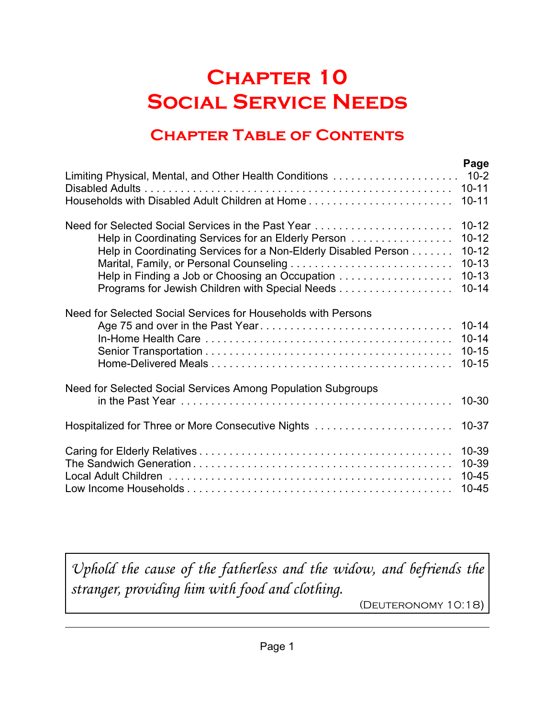# **Chapter 10 Social Service Needs**

# **Chapter Table of Contents**

|                                                                 | Page                                             |
|-----------------------------------------------------------------|--------------------------------------------------|
|                                                                 | $10 - 11$                                        |
| Households with Disabled Adult Children at Home                 | $10 - 11$                                        |
| Need for Selected Social Services in the Past Year              | $10 - 12$                                        |
| Help in Coordinating Services for an Elderly Person             | $10 - 12$                                        |
| Help in Coordinating Services for a Non-Elderly Disabled Person | $10 - 12$                                        |
|                                                                 | $10 - 13$                                        |
| Help in Finding a Job or Choosing an Occupation                 | $10 - 13$                                        |
| Programs for Jewish Children with Special Needs                 | $10 - 14$                                        |
| Need for Selected Social Services for Households with Persons   | $10 - 14$<br>$10 - 14$<br>$10 - 15$<br>$10 - 15$ |
| Need for Selected Social Services Among Population Subgroups    | $10 - 30$                                        |
| Hospitalized for Three or More Consecutive Nights               | $10 - 37$                                        |
|                                                                 | 10-39                                            |
|                                                                 | 10-39                                            |
|                                                                 | $10 - 45$                                        |
|                                                                 | $10 - 45$                                        |

*Uphold the cause of the fatherless and the widow, and befriends the stranger, providing him with food and clothing.*

(Deuteronomy 10:18)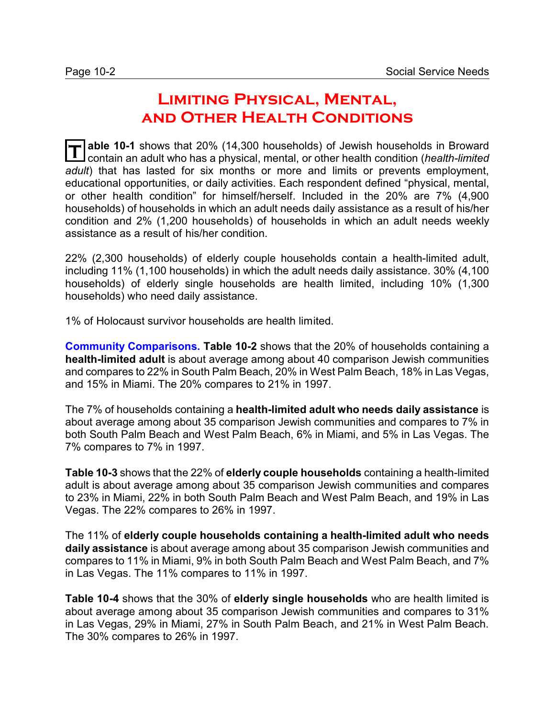## **Limiting Physical, Mental, and Other Health Conditions**

**T able 10-1** shows that 20% (14,300 households) of Jewish households in Broward contain an adult who has a physical, mental, or other health condition (*health-limited adult*) that has lasted for six months or more and limits or prevents employment, educational opportunities, or daily activities. Each respondent defined "physical, mental, or other health condition" for himself/herself. Included in the 20% are 7% (4,900 households) of households in which an adult needs daily assistance as a result of his/her condition and 2% (1,200 households) of households in which an adult needs weekly assistance as a result of his/her condition.

22% (2,300 households) of elderly couple households contain a health-limited adult, including 11% (1,100 households) in which the adult needs daily assistance. 30% (4,100 households) of elderly single households are health limited, including 10% (1,300 households) who need daily assistance.

1% of Holocaust survivor households are health limited.

**Community Comparisons. Table 10-2** shows that the 20% of households containing a **health-limited adult** is about average among about 40 comparison Jewish communities and compares to 22% in South Palm Beach, 20% in West Palm Beach, 18% in Las Vegas, and 15% in Miami. The 20% compares to 21% in 1997.

The 7% of households containing a **health-limited adult who needs daily assistance** is about average among about 35 comparison Jewish communities and compares to 7% in both South Palm Beach and West Palm Beach, 6% in Miami, and 5% in Las Vegas. The 7% compares to 7% in 1997.

**Table 10-3** shows that the 22% of **elderly couple households** containing a health-limited adult is about average among about 35 comparison Jewish communities and compares to 23% in Miami, 22% in both South Palm Beach and West Palm Beach, and 19% in Las Vegas. The 22% compares to 26% in 1997.

The 11% of **elderly couple households containing a health-limited adult who needs daily assistance** is about average among about 35 comparison Jewish communities and compares to 11% in Miami, 9% in both South Palm Beach and West Palm Beach, and 7% in Las Vegas. The 11% compares to 11% in 1997.

**Table 10-4** shows that the 30% of **elderly single households** who are health limited is about average among about 35 comparison Jewish communities and compares to 31% in Las Vegas, 29% in Miami, 27% in South Palm Beach, and 21% in West Palm Beach. The 30% compares to 26% in 1997.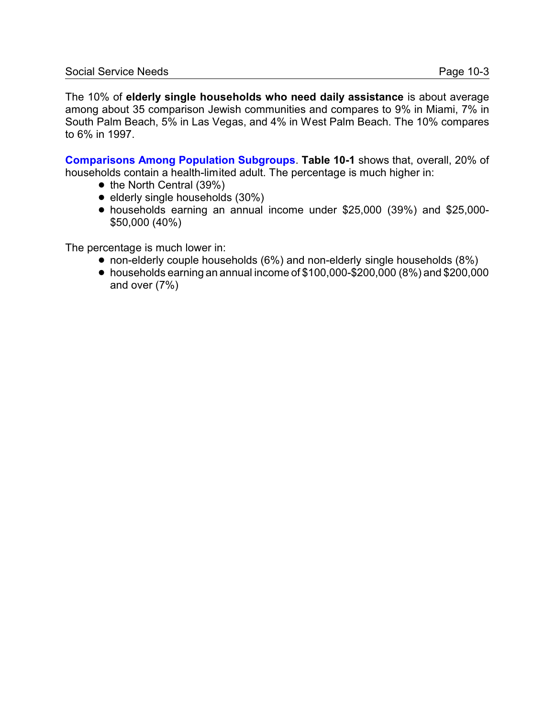The 10% of **elderly single households who need daily assistance** is about average among about 35 comparison Jewish communities and compares to 9% in Miami, 7% in South Palm Beach, 5% in Las Vegas, and 4% in West Palm Beach. The 10% compares to 6% in 1997.

**Comparisons Among Population Subgroups**. **Table 10-1** shows that, overall, 20% of households contain a health-limited adult. The percentage is much higher in:

- $\bullet$  the North Central (39%)
- $\bullet$  elderly single households (30%)
- ! households earning an annual income under \$25,000 (39%) and \$25,000- \$50,000 (40%)

The percentage is much lower in:

- non-elderly couple households (6%) and non-elderly single households (8%)
- $\bullet$  households earning an annual income of \$100,000-\$200,000 (8%) and \$200,000 and over (7%)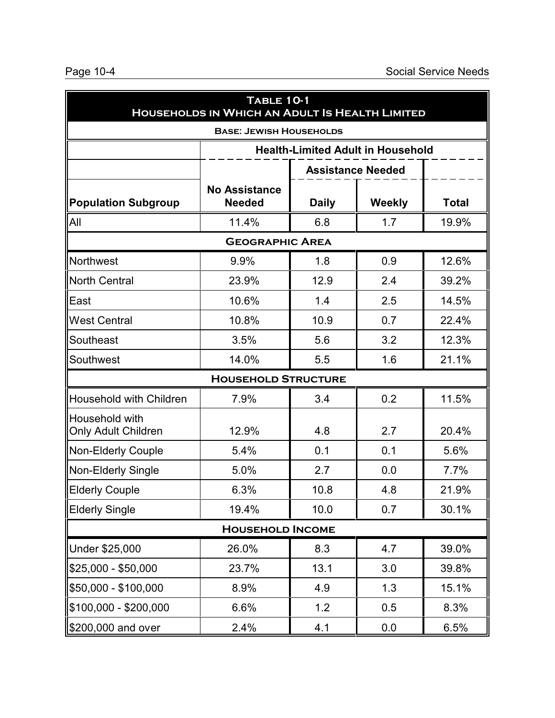| TABLE 10-1<br>HOUSEHOLDS IN WHICH AN ADULT IS HEALTH LIMITED |                                       |              |                                          |              |  |
|--------------------------------------------------------------|---------------------------------------|--------------|------------------------------------------|--------------|--|
|                                                              | <b>BASE: JEWISH HOUSEHOLDS</b>        |              |                                          |              |  |
|                                                              |                                       |              | <b>Health-Limited Adult in Household</b> |              |  |
|                                                              |                                       |              | <b>Assistance Needed</b>                 |              |  |
| Population Subgroup                                          | <b>No Assistance</b><br><b>Needed</b> | <b>Daily</b> | <b>Weekly</b>                            | <b>Total</b> |  |
| All                                                          | 11.4%                                 | 6.8          | 1.7                                      | 19.9%        |  |
|                                                              | <b>GEOGRAPHIC AREA</b>                |              |                                          |              |  |
| Northwest                                                    | 9.9%                                  | 1.8          | 0.9                                      | 12.6%        |  |
| North Central                                                | 23.9%                                 | 12.9         | 2.4                                      | 39.2%        |  |
| East                                                         | 10.6%                                 | 1.4          | 2.5                                      | 14.5%        |  |
| <b>West Central</b>                                          | 10.8%                                 | 10.9         | 0.7                                      | 22.4%        |  |
| Southeast                                                    | 3.5%                                  | 5.6          | 3.2                                      | 12.3%        |  |
| Southwest                                                    | 14.0%                                 | 5.5          | 1.6                                      | 21.1%        |  |
|                                                              | <b>HOUSEHOLD STRUCTURE</b>            |              |                                          |              |  |
| Household with Children                                      | 7.9%                                  | 3.4          | 0.2                                      | 11.5%        |  |
| Household with<br>Only Adult Children                        | 12.9%                                 | 4.8          | 2.7                                      | 20.4%        |  |
| Non-Elderly Couple                                           | 5.4%                                  | 0.1          | 0.1                                      | 5.6%         |  |
| Non-Elderly Single                                           | 5.0%                                  | 2.7          | 0.0                                      | 7.7%         |  |
| Elderly Couple                                               | 6.3%                                  | 10.8         | 4.8                                      | 21.9%        |  |
| <b>Elderly Single</b>                                        | 19.4%                                 | 10.0         | 0.7                                      | 30.1%        |  |
| <b>HOUSEHOLD INCOME</b>                                      |                                       |              |                                          |              |  |
| Under \$25,000                                               | 26.0%                                 | 8.3          | 4.7                                      | 39.0%        |  |
| \$25,000 - \$50,000                                          | 23.7%                                 | 13.1         | 3.0                                      | 39.8%        |  |
| \$50,000 - \$100,000                                         | 8.9%                                  | 4.9          | 1.3                                      | 15.1%        |  |
| \$100,000 - \$200,000                                        | 6.6%                                  | 1.2          | 0.5                                      | 8.3%         |  |
| \$200,000 and over                                           | 2.4%                                  | 4.1          | 0.0                                      | 6.5%         |  |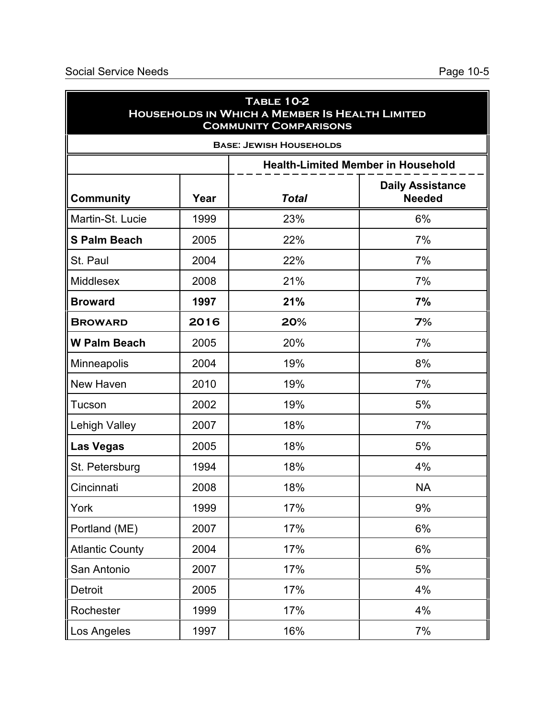| <b>TABLE 10-2</b><br>HOUSEHOLDS IN WHICH A MEMBER IS HEALTH LIMITED<br><b>COMMUNITY COMPARISONS</b> |                                |              |                                           |  |  |  |  |
|-----------------------------------------------------------------------------------------------------|--------------------------------|--------------|-------------------------------------------|--|--|--|--|
|                                                                                                     | <b>BASE: JEWISH HOUSEHOLDS</b> |              |                                           |  |  |  |  |
|                                                                                                     |                                |              | <b>Health-Limited Member in Household</b> |  |  |  |  |
| <b>Community</b>                                                                                    | Year                           | <b>Total</b> | <b>Daily Assistance</b><br><b>Needed</b>  |  |  |  |  |
| Martin-St. Lucie                                                                                    | 1999                           | 23%          | 6%                                        |  |  |  |  |
| <b>S Palm Beach</b>                                                                                 | 2005                           | 22%          | 7%                                        |  |  |  |  |
| St. Paul                                                                                            | 2004                           | 22%          | 7%                                        |  |  |  |  |
| <b>Middlesex</b>                                                                                    | 2008                           | 21%          | 7%                                        |  |  |  |  |
| <b>Broward</b>                                                                                      | 1997                           | 21%          | 7%                                        |  |  |  |  |
| <b>BROWARD</b>                                                                                      | 2016                           | 20%          | 7%                                        |  |  |  |  |
| <b>W Palm Beach</b>                                                                                 | 2005                           | 20%          | 7%                                        |  |  |  |  |
| Minneapolis                                                                                         | 2004                           | 19%          | 8%                                        |  |  |  |  |
| New Haven                                                                                           | 2010                           | 19%          | 7%                                        |  |  |  |  |
| Tucson                                                                                              | 2002                           | 19%          | 5%                                        |  |  |  |  |
| <b>Lehigh Valley</b>                                                                                | 2007                           | 18%          | 7%                                        |  |  |  |  |
| <b>Las Vegas</b>                                                                                    | 2005                           | 18%          | 5%                                        |  |  |  |  |
| St. Petersburg                                                                                      | 1994                           | 18%          | 4%                                        |  |  |  |  |
| Cincinnati                                                                                          | 2008                           | 18%          | <b>NA</b>                                 |  |  |  |  |
| York                                                                                                | 1999                           | 17%          | 9%                                        |  |  |  |  |
| Portland (ME)                                                                                       | 2007                           | 17%          | 6%                                        |  |  |  |  |
| <b>Atlantic County</b>                                                                              | 2004                           | 17%          | 6%                                        |  |  |  |  |
| San Antonio                                                                                         | 2007                           | 17%          | 5%                                        |  |  |  |  |
| Detroit                                                                                             | 2005                           | 17%          | 4%                                        |  |  |  |  |
| Rochester                                                                                           | 1999                           | 17%          | 4%                                        |  |  |  |  |
| Los Angeles                                                                                         | 1997                           | 16%          | 7%                                        |  |  |  |  |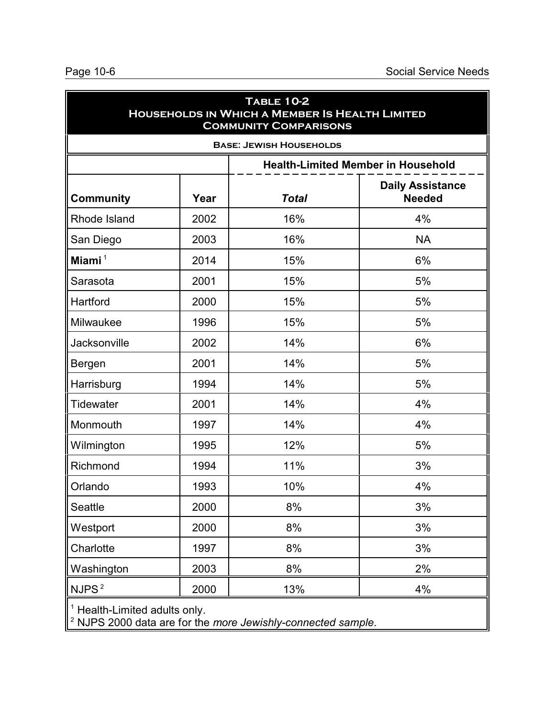|                             |      | <b>TABLE 10-2</b><br>HOUSEHOLDS IN WHICH A MEMBER IS HEALTH LIMITED<br><b>COMMUNITY COMPARISONS</b> |                                           |
|-----------------------------|------|-----------------------------------------------------------------------------------------------------|-------------------------------------------|
|                             |      | <b>BASE: JEWISH HOUSEHOLDS</b>                                                                      |                                           |
|                             |      |                                                                                                     | <b>Health-Limited Member in Household</b> |
| <b>Community</b>            | Year | <b>Total</b>                                                                                        | <b>Daily Assistance</b><br><b>Needed</b>  |
| Rhode Island                | 2002 | 16%                                                                                                 | 4%                                        |
| San Diego                   | 2003 | 16%                                                                                                 | <b>NA</b>                                 |
| Miami <sup>1</sup>          | 2014 | 15%                                                                                                 | 6%                                        |
| Sarasota                    | 2001 | 15%                                                                                                 | 5%                                        |
| Hartford                    | 2000 | 15%                                                                                                 | 5%                                        |
| Milwaukee                   | 1996 | 15%                                                                                                 | 5%                                        |
| Jacksonville                | 2002 | 14%                                                                                                 | 6%                                        |
| Bergen                      | 2001 | 14%                                                                                                 | 5%                                        |
| Harrisburg                  | 1994 | 14%                                                                                                 | 5%                                        |
| <b>Tidewater</b>            | 2001 | 14%                                                                                                 | 4%                                        |
| Monmouth                    | 1997 | 14%                                                                                                 | 4%                                        |
| Wilmington                  | 1995 | 12%                                                                                                 | 5%                                        |
| Richmond                    | 1994 | 11%                                                                                                 | 3%                                        |
| Orlando                     | 1993 | 10%                                                                                                 | 4%                                        |
| Seattle                     | 2000 | 8%                                                                                                  | 3%                                        |
| Westport                    | 2000 | 8%                                                                                                  | 3%                                        |
| Charlotte                   | 1997 | 8%                                                                                                  | 3%                                        |
| Washington                  | 2003 | 8%                                                                                                  | 2%                                        |
| NJPS <sup>2</sup>           | 2000 | 13%                                                                                                 | 4%                                        |
| Health-Limited adults only. |      |                                                                                                     |                                           |

2 NJPS 2000 data are for the *more Jewishly-connected sample*.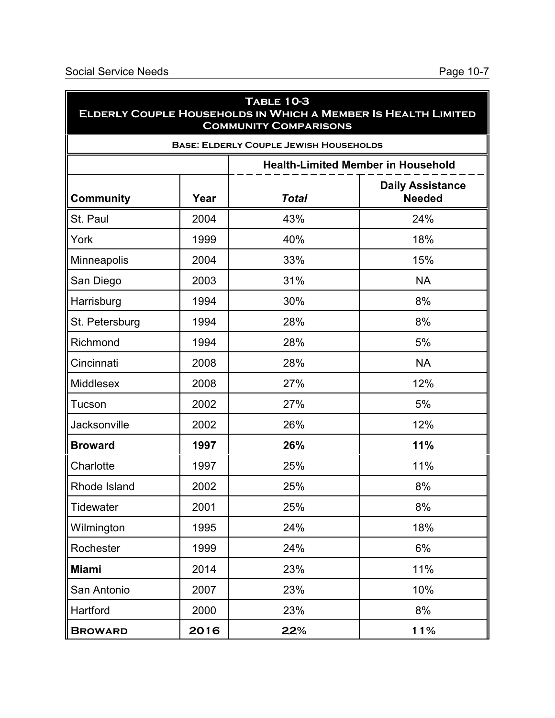| <b>TABLE 10-3</b><br>ELDERLY COUPLE HOUSEHOLDS IN WHICH A MEMBER IS HEALTH LIMITED<br><b>COMMUNITY COMPARISONS</b> |                                               |              |                                           |  |  |  |  |
|--------------------------------------------------------------------------------------------------------------------|-----------------------------------------------|--------------|-------------------------------------------|--|--|--|--|
|                                                                                                                    | <b>BASE: ELDERLY COUPLE JEWISH HOUSEHOLDS</b> |              |                                           |  |  |  |  |
|                                                                                                                    |                                               |              | <b>Health-Limited Member in Household</b> |  |  |  |  |
| <b>Community</b>                                                                                                   | Year                                          | <b>Total</b> | <b>Daily Assistance</b><br><b>Needed</b>  |  |  |  |  |
| St. Paul                                                                                                           | 2004                                          | 43%          | 24%                                       |  |  |  |  |
| York                                                                                                               | 1999                                          | 40%          | 18%                                       |  |  |  |  |
| Minneapolis                                                                                                        | 2004                                          | 33%          | 15%                                       |  |  |  |  |
| San Diego                                                                                                          | 2003                                          | 31%          | <b>NA</b>                                 |  |  |  |  |
| Harrisburg                                                                                                         | 1994                                          | 30%          | 8%                                        |  |  |  |  |
| St. Petersburg                                                                                                     | 1994                                          | 28%          | 8%                                        |  |  |  |  |
| Richmond                                                                                                           | 1994                                          | 28%          | 5%                                        |  |  |  |  |
| Cincinnati                                                                                                         | 2008                                          | 28%          | <b>NA</b>                                 |  |  |  |  |
| <b>Middlesex</b>                                                                                                   | 2008                                          | 27%          | 12%                                       |  |  |  |  |
| Tucson                                                                                                             | 2002                                          | 27%          | 5%                                        |  |  |  |  |
| <b>Jacksonville</b>                                                                                                | 2002                                          | 26%          | 12%                                       |  |  |  |  |
| <b>Broward</b>                                                                                                     | 1997                                          | 26%          | 11%                                       |  |  |  |  |
| Charlotte                                                                                                          | 1997                                          | 25%          | 11%                                       |  |  |  |  |
| Rhode Island                                                                                                       | 2002                                          | 25%          | 8%                                        |  |  |  |  |
| Tidewater                                                                                                          | 2001                                          | 25%          | 8%                                        |  |  |  |  |
| Wilmington                                                                                                         | 1995                                          | 24%          | 18%                                       |  |  |  |  |
| Rochester                                                                                                          | 1999                                          | 24%          | 6%                                        |  |  |  |  |
| <b>Miami</b>                                                                                                       | 2014                                          | 23%          | 11%                                       |  |  |  |  |
| San Antonio                                                                                                        | 2007                                          | 23%          | 10%                                       |  |  |  |  |
| Hartford                                                                                                           | 2000                                          | 23%          | 8%                                        |  |  |  |  |
| <b>BROWARD</b>                                                                                                     | 2016                                          | 22%          | 11%                                       |  |  |  |  |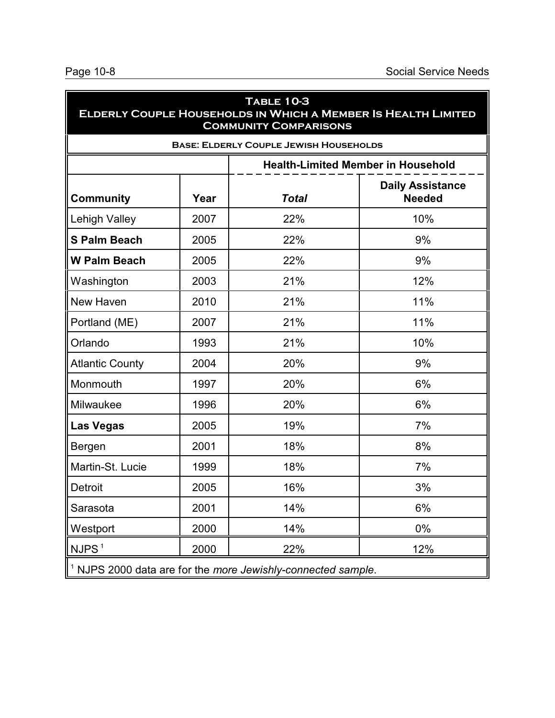| <b>TABLE 10-3</b><br>ELDERLY COUPLE HOUSEHOLDS IN WHICH A MEMBER IS HEALTH LIMITED<br><b>COMMUNITY COMPARISONS</b> |                                               |                                                                         |                                           |  |  |  |
|--------------------------------------------------------------------------------------------------------------------|-----------------------------------------------|-------------------------------------------------------------------------|-------------------------------------------|--|--|--|
|                                                                                                                    | <b>BASE: ELDERLY COUPLE JEWISH HOUSEHOLDS</b> |                                                                         |                                           |  |  |  |
|                                                                                                                    |                                               |                                                                         | <b>Health-Limited Member in Household</b> |  |  |  |
| <b>Community</b>                                                                                                   | Year                                          | <b>Total</b>                                                            | <b>Daily Assistance</b><br><b>Needed</b>  |  |  |  |
| <b>Lehigh Valley</b>                                                                                               | 2007                                          | 22%                                                                     | 10%                                       |  |  |  |
| <b>S Palm Beach</b>                                                                                                | 2005                                          | 22%                                                                     | 9%                                        |  |  |  |
| <b>W Palm Beach</b>                                                                                                | 2005                                          | 22%                                                                     | 9%                                        |  |  |  |
| Washington                                                                                                         | 2003                                          | 21%                                                                     | 12%                                       |  |  |  |
| New Haven                                                                                                          | 2010                                          | 21%                                                                     | 11%                                       |  |  |  |
| Portland (ME)                                                                                                      | 2007                                          | 21%                                                                     | 11%                                       |  |  |  |
| Orlando                                                                                                            | 1993                                          | 21%                                                                     | 10%                                       |  |  |  |
| <b>Atlantic County</b>                                                                                             | 2004                                          | 20%                                                                     | 9%                                        |  |  |  |
| Monmouth                                                                                                           | 1997                                          | 20%                                                                     | 6%                                        |  |  |  |
| Milwaukee                                                                                                          | 1996                                          | 20%                                                                     | 6%                                        |  |  |  |
| <b>Las Vegas</b>                                                                                                   | 2005                                          | 19%                                                                     | 7%                                        |  |  |  |
| Bergen                                                                                                             | 2001                                          | 18%                                                                     | 8%                                        |  |  |  |
| Martin-St. Lucie                                                                                                   | 1999                                          | 18%                                                                     | 7%                                        |  |  |  |
| Detroit                                                                                                            | 2005                                          | 16%                                                                     | 3%                                        |  |  |  |
| Sarasota                                                                                                           | 2001                                          | 14%                                                                     | 6%                                        |  |  |  |
| Westport                                                                                                           | 2000                                          | 14%                                                                     | $0\%$                                     |  |  |  |
| NJPS <sup>1</sup>                                                                                                  | 2000                                          | 22%                                                                     | 12%                                       |  |  |  |
|                                                                                                                    |                                               | <sup>1</sup> NJPS 2000 data are for the more Jewishly-connected sample. |                                           |  |  |  |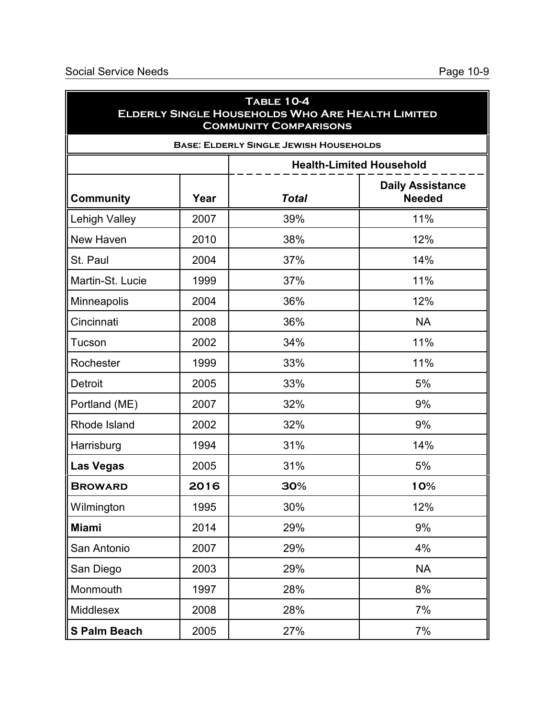| <b>TABLE 10-4</b><br><b>ELDERLY SINGLE HOUSEHOLDS WHO ARE HEALTH LIMITED</b><br><b>COMMUNITY COMPARISONS</b> |      |              |                                          |  |  |  |
|--------------------------------------------------------------------------------------------------------------|------|--------------|------------------------------------------|--|--|--|
| <b>BASE: ELDERLY SINGLE JEWISH HOUSEHOLDS</b>                                                                |      |              |                                          |  |  |  |
|                                                                                                              |      |              | <b>Health-Limited Household</b>          |  |  |  |
| <b>Community</b>                                                                                             | Year | <b>Total</b> | <b>Daily Assistance</b><br><b>Needed</b> |  |  |  |
| <b>Lehigh Valley</b>                                                                                         | 2007 | 39%          | 11%                                      |  |  |  |
| New Haven                                                                                                    | 2010 | 38%          | 12%                                      |  |  |  |
| St. Paul                                                                                                     | 2004 | 37%          | 14%                                      |  |  |  |
| Martin-St. Lucie                                                                                             | 1999 | 37%          | 11%                                      |  |  |  |
| Minneapolis                                                                                                  | 2004 | 36%          | 12%                                      |  |  |  |
| Cincinnati                                                                                                   | 2008 | 36%          | <b>NA</b>                                |  |  |  |
| Tucson                                                                                                       | 2002 | 34%          | 11%                                      |  |  |  |
| Rochester                                                                                                    | 1999 | 33%          | 11%                                      |  |  |  |
| Detroit                                                                                                      | 2005 | 33%          | 5%                                       |  |  |  |
| Portland (ME)                                                                                                | 2007 | 32%          | 9%                                       |  |  |  |
| Rhode Island                                                                                                 | 2002 | 32%          | 9%                                       |  |  |  |
| Harrisburg                                                                                                   | 1994 | 31%          | 14%                                      |  |  |  |
| <b>Las Vegas</b>                                                                                             | 2005 | 31%          | 5%                                       |  |  |  |
| <b>BROWARD</b>                                                                                               | 2016 | 30%          | 10%                                      |  |  |  |
| Wilmington                                                                                                   | 1995 | 30%          | 12%                                      |  |  |  |
| <b>Miami</b>                                                                                                 | 2014 | 29%          | 9%                                       |  |  |  |
| San Antonio                                                                                                  | 2007 | 29%          | 4%                                       |  |  |  |
| San Diego                                                                                                    | 2003 | 29%          | <b>NA</b>                                |  |  |  |
| Monmouth                                                                                                     | 1997 | 28%          | 8%                                       |  |  |  |
| <b>Middlesex</b>                                                                                             | 2008 | 28%          | 7%                                       |  |  |  |
| <b>S Palm Beach</b>                                                                                          | 2005 | 27%          | 7%                                       |  |  |  |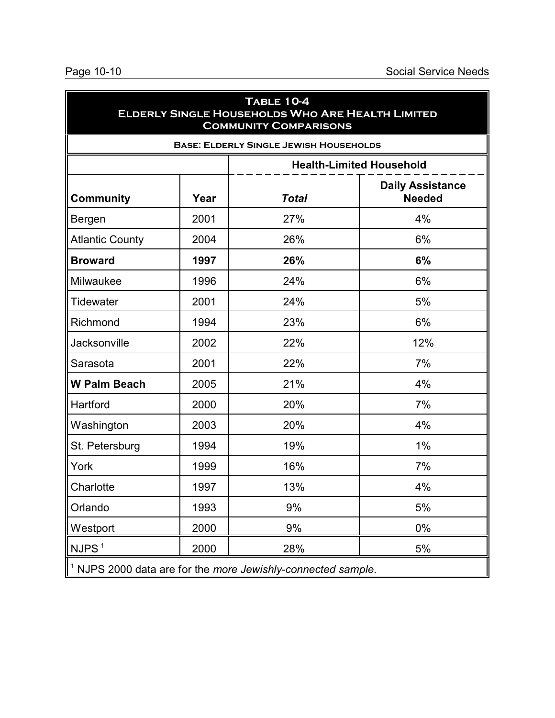| TABLE 10-4<br><b>ELDERLY SINGLE HOUSEHOLDS WHO ARE HEALTH LIMITED</b><br><b>COMMUNITY COMPARISONS</b> |                                               |              |                                          |  |  |  |
|-------------------------------------------------------------------------------------------------------|-----------------------------------------------|--------------|------------------------------------------|--|--|--|
|                                                                                                       | <b>BASE: ELDERLY SINGLE JEWISH HOUSEHOLDS</b> |              |                                          |  |  |  |
| <b>Health-Limited Household</b>                                                                       |                                               |              |                                          |  |  |  |
| <b>Community</b>                                                                                      | Year                                          | <b>Total</b> | <b>Daily Assistance</b><br><b>Needed</b> |  |  |  |
| Bergen                                                                                                | 2001                                          | 27%          | 4%                                       |  |  |  |
| <b>Atlantic County</b>                                                                                | 2004                                          | 26%          | 6%                                       |  |  |  |
| <b>Broward</b>                                                                                        | 1997                                          | 26%          | 6%                                       |  |  |  |
| Milwaukee                                                                                             | 1996                                          | 24%          | 6%                                       |  |  |  |
| <b>Tidewater</b>                                                                                      | 2001                                          | 24%          | 5%                                       |  |  |  |
| Richmond                                                                                              | 1994                                          | 23%          | 6%                                       |  |  |  |
| Jacksonville                                                                                          | 2002                                          | 22%          | 12%                                      |  |  |  |
| Sarasota                                                                                              | 2001                                          | 22%          | 7%                                       |  |  |  |
| <b>W Palm Beach</b>                                                                                   | 2005                                          | 21%          | 4%                                       |  |  |  |
| Hartford                                                                                              | 2000                                          | 20%          | 7%                                       |  |  |  |
| Washington                                                                                            | 2003                                          | 20%          | 4%                                       |  |  |  |
| St. Petersburg                                                                                        | 1994                                          | 19%          | 1%                                       |  |  |  |
| York                                                                                                  | 1999                                          | 16%          | 7%                                       |  |  |  |
| Charlotte                                                                                             | 1997                                          | 13%          | 4%                                       |  |  |  |
| Orlando                                                                                               | 1993                                          | 9%           | 5%                                       |  |  |  |
| Westport                                                                                              | 2000                                          | 9%           | 0%                                       |  |  |  |
| NJPS <sup>1</sup>                                                                                     | 2000                                          | 28%          | 5%                                       |  |  |  |
| $1$ NJPS 2000 data are for the more Jewishly-connected sample.                                        |                                               |              |                                          |  |  |  |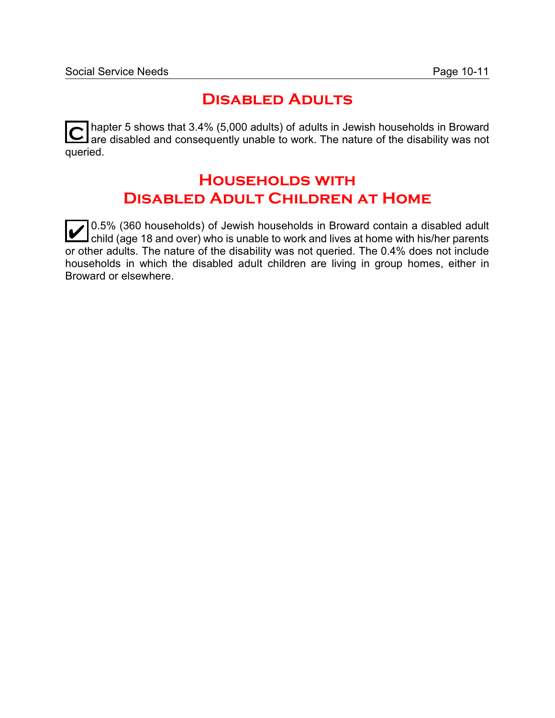## **Disabled Adults**

**C** hapter 5 shows that 3.4% (5,000 adults) of adults in Jewish households in Broward are disabled and consequently unable to work. The nature of the disability was not queried.

# **Households with Disabled Adult Children at Home**

0.5% (360 households) of Jewish households in Broward contain a disabled adult<br>child (age 18 and over) who is unable to work and lives at home with his/her parents  $\overline{\phantom{\mathsf{I}}}$ child (age 18 and over) who is unable to work and lives at home with his/her parents or other adults. The nature of the disability was not queried. The 0.4% does not include households in which the disabled adult children are living in group homes, either in Broward or elsewhere.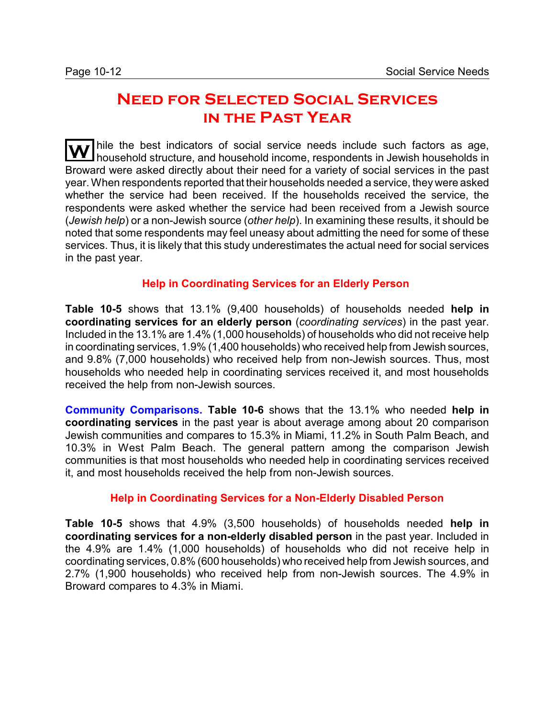# **Need for Selected Social Services in the Past Year**

Thile the best indicators of social service needs include such factors as age, household structure, and household income, respondents in Jewish households in Broward were asked directly about their need for a variety of social services in the past year. When respondents reported that their households needed a service, they were asked whether the service had been received. If the households received the service, the respondents were asked whether the service had been received from a Jewish source (*Jewish help*) or a non-Jewish source (*other help*). In examining these results, it should be noted that some respondents may feel uneasy about admitting the need for some of these services. Thus, it is likely that this study underestimates the actual need for social services in the past year.

### **Help in Coordinating Services for an Elderly Person**

**Table 10-5** shows that 13.1% (9,400 households) of households needed **help in coordinating services for an elderly person** (*coordinating services*) in the past year. Included in the 13.1% are 1.4% (1,000 households) of households who did not receive help in coordinating services, 1.9% (1,400 households) who received help from Jewish sources, and 9.8% (7,000 households) who received help from non-Jewish sources. Thus, most households who needed help in coordinating services received it, and most households received the help from non-Jewish sources.

**Community Comparisons. Table 10-6** shows that the 13.1% who needed **help in coordinating services** in the past year is about average among about 20 comparison Jewish communities and compares to 15.3% in Miami, 11.2% in South Palm Beach, and 10.3% in West Palm Beach. The general pattern among the comparison Jewish communities is that most households who needed help in coordinating services received it, and most households received the help from non-Jewish sources.

#### **Help in Coordinating Services for a Non-Elderly Disabled Person**

**Table 10-5** shows that 4.9% (3,500 households) of households needed **help in coordinating services for a non-elderly disabled person** in the past year. Included in the 4.9% are 1.4% (1,000 households) of households who did not receive help in coordinating services, 0.8% (600 households) who received help from Jewish sources, and 2.7% (1,900 households) who received help from non-Jewish sources. The 4.9% in Broward compares to 4.3% in Miami.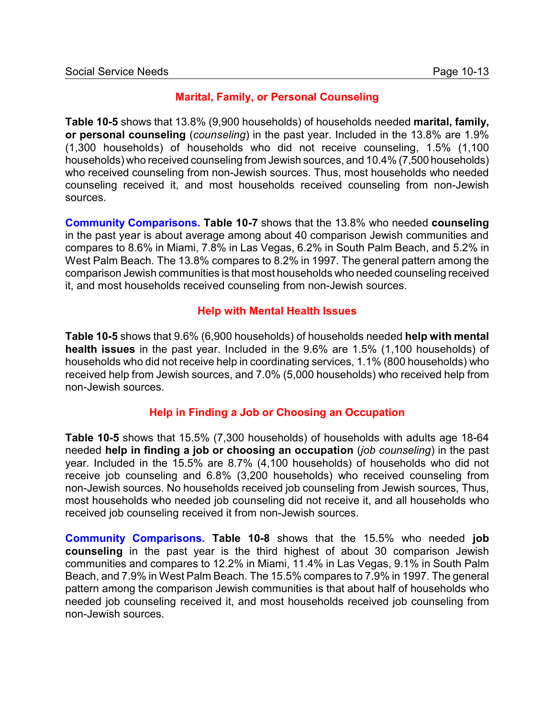### **Marital, Family, or Personal Counseling**

**Table 10-5** shows that 13.8% (9,900 households) of households needed **marital, family, or personal counseling** (*counseling*) in the past year. Included in the 13.8% are 1.9% (1,300 households) of households who did not receive counseling, 1.5% (1,100 households) who received counseling from Jewish sources, and 10.4% (7,500 households) who received counseling from non-Jewish sources. Thus, most households who needed counseling received it, and most households received counseling from non-Jewish sources.

**Community Comparisons. Table 10-7** shows that the 13.8% who needed **counseling** in the past year is about average among about 40 comparison Jewish communities and compares to 8.6% in Miami, 7.8% in Las Vegas, 6.2% in South Palm Beach, and 5.2% in West Palm Beach. The 13.8% compares to 8.2% in 1997. The general pattern among the comparison Jewish communities is that most households who needed counseling received it, and most households received counseling from non-Jewish sources.

### **Help with Mental Health Issues**

**Table 10-5** shows that 9.6% (6,900 households) of households needed **help with mental health issues** in the past year. Included in the 9.6% are 1.5% (1,100 households) of households who did not receive help in coordinating services, 1.1% (800 households) who received help from Jewish sources, and 7.0% (5,000 households) who received help from non-Jewish sources.

#### **Help in Finding a Job or Choosing an Occupation**

**Table 10-5** shows that 15.5% (7,300 households) of households with adults age 18-64 needed **help in finding a job or choosing an occupation** (*job counseling*) in the past year. Included in the 15.5% are 8.7% (4,100 households) of households who did not receive job counseling and 6.8% (3,200 households) who received counseling from non-Jewish sources. No households received job counseling from Jewish sources, Thus, most households who needed job counseling did not receive it, and all households who received job counseling received it from non-Jewish sources.

**Community Comparisons. Table 10-8** shows that the 15.5% who needed **job counseling** in the past year is the third highest of about 30 comparison Jewish communities and compares to 12.2% in Miami, 11.4% in Las Vegas, 9.1% in South Palm Beach, and 7.9% in West Palm Beach. The 15.5% compares to 7.9% in 1997. The general pattern among the comparison Jewish communities is that about half of households who needed job counseling received it, and most households received job counseling from non-Jewish sources.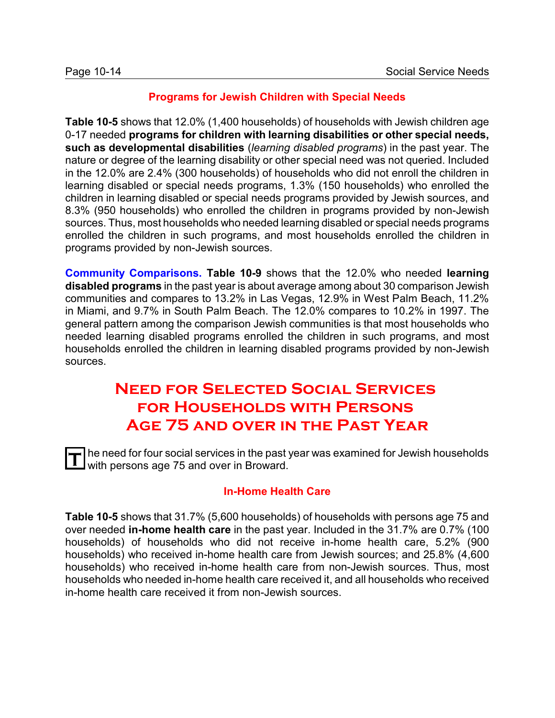### **Programs for Jewish Children with Special Needs**

**Table 10-5** shows that 12.0% (1,400 households) of households with Jewish children age 0-17 needed **programs for children with learning disabilities or other special needs, such as developmental disabilities** (*learning disabled programs*) in the past year. The nature or degree of the learning disability or other special need was not queried. Included in the 12.0% are 2.4% (300 households) of households who did not enroll the children in learning disabled or special needs programs, 1.3% (150 households) who enrolled the children in learning disabled or special needs programs provided by Jewish sources, and 8.3% (950 households) who enrolled the children in programs provided by non-Jewish sources. Thus, most households who needed learning disabled or special needs programs enrolled the children in such programs, and most households enrolled the children in programs provided by non-Jewish sources.

**Community Comparisons. Table 10-9** shows that the 12.0% who needed **learning disabled programs** in the past year is about average among about 30 comparison Jewish communities and compares to 13.2% in Las Vegas, 12.9% in West Palm Beach, 11.2% in Miami, and 9.7% in South Palm Beach. The 12.0% compares to 10.2% in 1997. The general pattern among the comparison Jewish communities is that most households who needed learning disabled programs enrolled the children in such programs, and most households enrolled the children in learning disabled programs provided by non-Jewish sources.

# **Need for Selected Social Services for Households with Persons Age 75 and over in the Past Year**

T he need for four social services in the past year was examined for Jewish households<br>In with persons 200.75 and over in Broward with persons age 75 and over in Broward.

### **In-Home Health Care**

**Table 10-5** shows that 31.7% (5,600 households) of households with persons age 75 and over needed **in-home health care** in the past year. Included in the 31.7% are 0.7% (100 households) of households who did not receive in-home health care, 5.2% (900 households) who received in-home health care from Jewish sources; and 25.8% (4,600 households) who received in-home health care from non-Jewish sources. Thus, most households who needed in-home health care received it, and all households who received in-home health care received it from non-Jewish sources.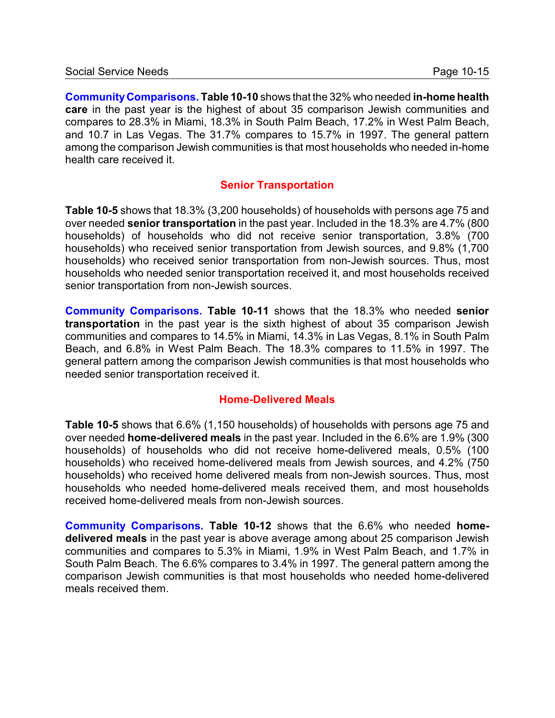**CommunityComparisons. Table 10-10** shows that the 32% who needed **in-home health care** in the past year is the highest of about 35 comparison Jewish communities and compares to 28.3% in Miami, 18.3% in South Palm Beach, 17.2% in West Palm Beach, and 10.7 in Las Vegas. The 31.7% compares to 15.7% in 1997. The general pattern among the comparison Jewish communities is that most households who needed in-home health care received it.

### **Senior Transportation**

**Table 10-5** shows that 18.3% (3,200 households) of households with persons age 75 and over needed **senior transportation** in the past year. Included in the 18.3% are 4.7% (800 households) of households who did not receive senior transportation, 3.8% (700 households) who received senior transportation from Jewish sources, and 9.8% (1,700 households) who received senior transportation from non-Jewish sources. Thus, most households who needed senior transportation received it, and most households received senior transportation from non-Jewish sources.

**Community Comparisons. Table 10-11** shows that the 18.3% who needed **senior transportation** in the past year is the sixth highest of about 35 comparison Jewish communities and compares to 14.5% in Miami, 14.3% in Las Vegas, 8.1% in South Palm Beach, and 6.8% in West Palm Beach. The 18.3% compares to 11.5% in 1997. The general pattern among the comparison Jewish communities is that most households who needed senior transportation received it.

#### **Home-Delivered Meals**

**Table 10-5** shows that 6.6% (1,150 households) of households with persons age 75 and over needed **home-delivered meals** in the past year. Included in the 6.6% are 1.9% (300 households) of households who did not receive home-delivered meals, 0.5% (100 households) who received home-delivered meals from Jewish sources, and 4.2% (750 households) who received home delivered meals from non-Jewish sources. Thus, most households who needed home-delivered meals received them, and most households received home-delivered meals from non-Jewish sources.

**Community Comparisons. Table 10-12** shows that the 6.6% who needed **homedelivered meals** in the past year is above average among about 25 comparison Jewish communities and compares to 5.3% in Miami, 1.9% in West Palm Beach, and 1.7% in South Palm Beach. The 6.6% compares to 3.4% in 1997. The general pattern among the comparison Jewish communities is that most households who needed home-delivered meals received them.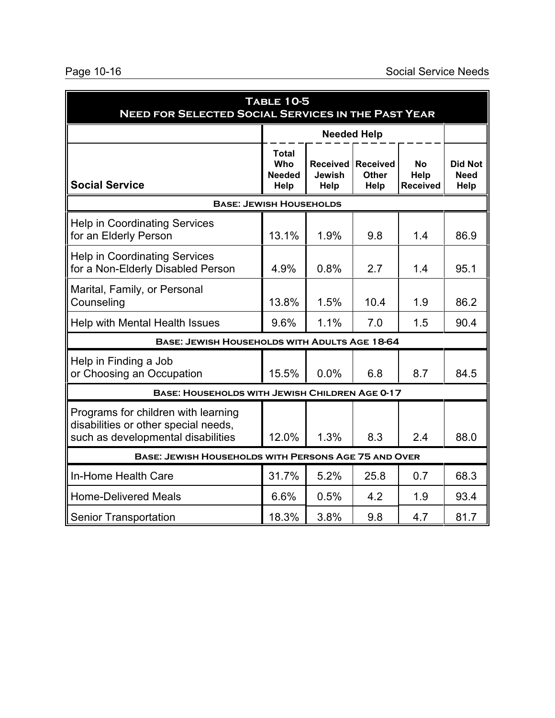| <b>TABLE 10-5</b><br><b>NEED FOR SELECTED SOCIAL SERVICES IN THE PAST YEAR</b>                                    |                                                      |                                       |      |     |      |  |  |
|-------------------------------------------------------------------------------------------------------------------|------------------------------------------------------|---------------------------------------|------|-----|------|--|--|
|                                                                                                                   |                                                      | <b>Needed Help</b>                    |      |     |      |  |  |
| <b>Social Service</b>                                                                                             | No<br>Help<br><b>Received</b>                        | <b>Did Not</b><br><b>Need</b><br>Help |      |     |      |  |  |
| <b>BASE: JEWISH HOUSEHOLDS</b>                                                                                    |                                                      |                                       |      |     |      |  |  |
| <b>Help in Coordinating Services</b><br>for an Elderly Person                                                     | 13.1%                                                | 1.9%                                  | 9.8  | 1.4 | 86.9 |  |  |
| <b>Help in Coordinating Services</b><br>for a Non-Elderly Disabled Person                                         | 4.9%                                                 | 0.8%                                  | 2.7  | 1.4 | 95.1 |  |  |
| Marital, Family, or Personal<br>Counseling                                                                        | 13.8%                                                | 1.5%                                  | 10.4 | 1.9 | 86.2 |  |  |
| Help with Mental Health Issues                                                                                    | 9.6%                                                 | 1.1%                                  | 7.0  | 1.5 | 90.4 |  |  |
| BASE: JEWISH HOUSEHOLDS WITH ADULTS AGE 18-64                                                                     |                                                      |                                       |      |     |      |  |  |
| Help in Finding a Job<br>or Choosing an Occupation                                                                | 15.5%                                                | 0.0%                                  | 6.8  | 8.7 | 84.5 |  |  |
| <b>BASE: HOUSEHOLDS WITH JEWISH CHILDREN AGE 0-17</b>                                                             |                                                      |                                       |      |     |      |  |  |
| Programs for children with learning<br>disabilities or other special needs,<br>such as developmental disabilities | 12.0%                                                | 1.3%                                  | 8.3  | 2.4 | 88.0 |  |  |
|                                                                                                                   | BASE: JEWISH HOUSEHOLDS WITH PERSONS AGE 75 AND OVER |                                       |      |     |      |  |  |
| In-Home Health Care                                                                                               | 31.7%                                                | 5.2%                                  | 25.8 | 0.7 | 68.3 |  |  |
| <b>Home-Delivered Meals</b>                                                                                       | 6.6%                                                 | 0.5%                                  | 4.2  | 1.9 | 93.4 |  |  |
| <b>Senior Transportation</b>                                                                                      | 18.3%                                                | 3.8%                                  | 9.8  | 4.7 | 81.7 |  |  |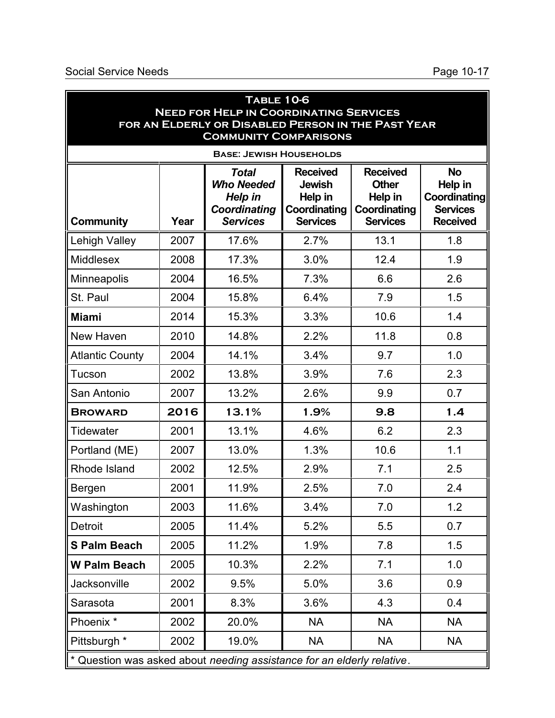|                                                                        |      | <b>TABLE 10-6</b><br><b>NEED FOR HELP IN COORDINATING SERVICES</b>                 |                                                                                |                                                                               |                                                                            |
|------------------------------------------------------------------------|------|------------------------------------------------------------------------------------|--------------------------------------------------------------------------------|-------------------------------------------------------------------------------|----------------------------------------------------------------------------|
|                                                                        |      | FOR AN ELDERLY OR DISABLED PERSON IN THE PAST YEAR<br><b>COMMUNITY COMPARISONS</b> |                                                                                |                                                                               |                                                                            |
|                                                                        |      | <b>BASE: JEWISH HOUSEHOLDS</b>                                                     |                                                                                |                                                                               |                                                                            |
| <b>Community</b>                                                       | Year | <b>Total</b><br><b>Who Needed</b><br>Help in<br>Coordinating<br><b>Services</b>    | <b>Received</b><br><b>Jewish</b><br>Help in<br>Coordinating<br><b>Services</b> | <b>Received</b><br><b>Other</b><br>Help in<br>Coordinating<br><b>Services</b> | <b>No</b><br>Help in<br>Coordinating<br><b>Services</b><br><b>Received</b> |
| <b>Lehigh Valley</b>                                                   | 2007 | 17.6%                                                                              | 2.7%                                                                           | 13.1                                                                          | 1.8                                                                        |
| <b>Middlesex</b>                                                       | 2008 | 17.3%                                                                              | 3.0%                                                                           | 12.4                                                                          | 1.9                                                                        |
| Minneapolis                                                            | 2004 | 16.5%                                                                              | 7.3%                                                                           | 6.6                                                                           | 2.6                                                                        |
| St. Paul                                                               | 2004 | 15.8%                                                                              | 6.4%                                                                           | 7.9                                                                           | 1.5                                                                        |
| <b>Miami</b>                                                           | 2014 | 15.3%                                                                              | 3.3%                                                                           | 10.6                                                                          | 1.4                                                                        |
| New Haven                                                              | 2010 | 14.8%                                                                              | 2.2%                                                                           | 11.8                                                                          | 0.8                                                                        |
| <b>Atlantic County</b>                                                 | 2004 | 14.1%                                                                              | 3.4%                                                                           | 9.7                                                                           | 1.0                                                                        |
| Tucson                                                                 | 2002 | 13.8%                                                                              | 3.9%                                                                           | 7.6                                                                           | 2.3                                                                        |
| San Antonio                                                            | 2007 | 13.2%                                                                              | 2.6%                                                                           | 9.9                                                                           | 0.7                                                                        |
| <b>BROWARD</b>                                                         | 2016 | 13.1%                                                                              | 1.9%                                                                           | 9.8                                                                           | 1.4                                                                        |
| <b>Tidewater</b>                                                       | 2001 | 13.1%                                                                              | 4.6%                                                                           | 6.2                                                                           | 2.3                                                                        |
| Portland (ME)                                                          | 2007 | 13.0%                                                                              | 1.3%                                                                           | 10.6                                                                          | 1.1                                                                        |
| Rhode Island                                                           | 2002 | 12.5%                                                                              | 2.9%                                                                           | 7.1                                                                           | 2.5                                                                        |
| Bergen                                                                 | 2001 | 11.9%                                                                              | 2.5%                                                                           | 7.0                                                                           | 2.4                                                                        |
| Washington                                                             | 2003 | 11.6%                                                                              | 3.4%                                                                           | 7.0                                                                           | 1.2                                                                        |
| Detroit                                                                | 2005 | 11.4%                                                                              | 5.2%                                                                           | 5.5                                                                           | 0.7                                                                        |
| <b>S Palm Beach</b>                                                    | 2005 | 11.2%                                                                              | 1.9%                                                                           | 7.8                                                                           | 1.5                                                                        |
| <b>W Palm Beach</b>                                                    | 2005 | 10.3%                                                                              | 2.2%                                                                           | 7.1                                                                           | 1.0                                                                        |
| Jacksonville                                                           | 2002 | 9.5%                                                                               | 5.0%                                                                           | 3.6                                                                           | 0.9                                                                        |
| Sarasota                                                               | 2001 | 8.3%                                                                               | 3.6%                                                                           | 4.3                                                                           | 0.4                                                                        |
| Phoenix <sup>*</sup>                                                   | 2002 | 20.0%                                                                              | <b>NA</b>                                                                      | <b>NA</b>                                                                     | <b>NA</b>                                                                  |
| Pittsburgh *                                                           | 2002 | 19.0%                                                                              | <b>NA</b>                                                                      | <b>NA</b>                                                                     | <b>NA</b>                                                                  |
| * Question was asked about needing assistance for an elderly relative. |      |                                                                                    |                                                                                |                                                                               |                                                                            |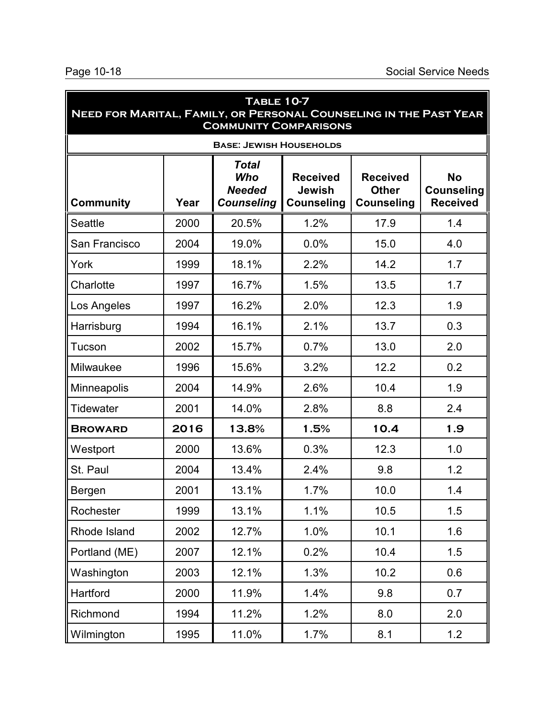| TABLE 10-7<br>NEED FOR MARITAL, FAMILY, OR PERSONAL COUNSELING IN THE PAST YEAR<br><b>COMMUNITY COMPARISONS</b> |      |                                                           |                                                       |                                                      |                                                   |  |  |
|-----------------------------------------------------------------------------------------------------------------|------|-----------------------------------------------------------|-------------------------------------------------------|------------------------------------------------------|---------------------------------------------------|--|--|
| <b>BASE: JEWISH HOUSEHOLDS</b>                                                                                  |      |                                                           |                                                       |                                                      |                                                   |  |  |
| <b>Community</b>                                                                                                | Year | <b>Total</b><br>Who<br><b>Needed</b><br><b>Counseling</b> | <b>Received</b><br><b>Jewish</b><br><b>Counseling</b> | <b>Received</b><br><b>Other</b><br><b>Counseling</b> | <b>No</b><br><b>Counseling</b><br><b>Received</b> |  |  |
| <b>Seattle</b>                                                                                                  | 2000 | 20.5%                                                     | 1.2%                                                  | 17.9                                                 | 1.4                                               |  |  |
| San Francisco                                                                                                   | 2004 | 19.0%                                                     | 0.0%                                                  | 15.0                                                 | 4.0                                               |  |  |
| York                                                                                                            | 1999 | 18.1%                                                     | 2.2%                                                  | 14.2                                                 | 1.7                                               |  |  |
| Charlotte                                                                                                       | 1997 | 16.7%                                                     | 1.5%                                                  | 13.5                                                 | 1.7                                               |  |  |
| Los Angeles                                                                                                     | 1997 | 16.2%                                                     | 2.0%                                                  | 12.3                                                 | 1.9                                               |  |  |
| Harrisburg                                                                                                      | 1994 | 16.1%                                                     | 2.1%                                                  | 13.7                                                 | 0.3                                               |  |  |
| Tucson                                                                                                          | 2002 | 15.7%                                                     | 0.7%                                                  | 13.0                                                 | 2.0                                               |  |  |
| Milwaukee                                                                                                       | 1996 | 15.6%                                                     | 3.2%                                                  | 12.2                                                 | 0.2                                               |  |  |
| Minneapolis                                                                                                     | 2004 | 14.9%                                                     | 2.6%                                                  | 10.4                                                 | 1.9                                               |  |  |
| <b>Tidewater</b>                                                                                                | 2001 | 14.0%                                                     | 2.8%                                                  | 8.8                                                  | 2.4                                               |  |  |
| <b>BROWARD</b>                                                                                                  | 2016 | 13.8%                                                     | 1.5%                                                  | 10.4                                                 | 1.9                                               |  |  |
| Westport                                                                                                        | 2000 | 13.6%                                                     | 0.3%                                                  | 12.3                                                 | 1.0                                               |  |  |
| St. Paul                                                                                                        | 2004 | 13.4%                                                     | 2.4%                                                  | 9.8                                                  | 1.2                                               |  |  |
| Bergen                                                                                                          | 2001 | 13.1%                                                     | 1.7%                                                  | 10.0                                                 | 1.4                                               |  |  |
| Rochester                                                                                                       | 1999 | 13.1%                                                     | 1.1%                                                  | 10.5                                                 | 1.5                                               |  |  |
| Rhode Island                                                                                                    | 2002 | 12.7%                                                     | 1.0%                                                  | 10.1                                                 | 1.6                                               |  |  |
| Portland (ME)                                                                                                   | 2007 | 12.1%                                                     | 0.2%                                                  | 10.4                                                 | 1.5                                               |  |  |
| Washington                                                                                                      | 2003 | 12.1%                                                     | 1.3%                                                  | 10.2                                                 | 0.6                                               |  |  |
| Hartford                                                                                                        | 2000 | 11.9%                                                     | 1.4%                                                  | 9.8                                                  | 0.7                                               |  |  |
| Richmond                                                                                                        | 1994 | 11.2%                                                     | 1.2%                                                  | 8.0                                                  | 2.0                                               |  |  |
| Wilmington                                                                                                      | 1995 | 11.0%                                                     | 1.7%                                                  | 8.1                                                  | 1.2                                               |  |  |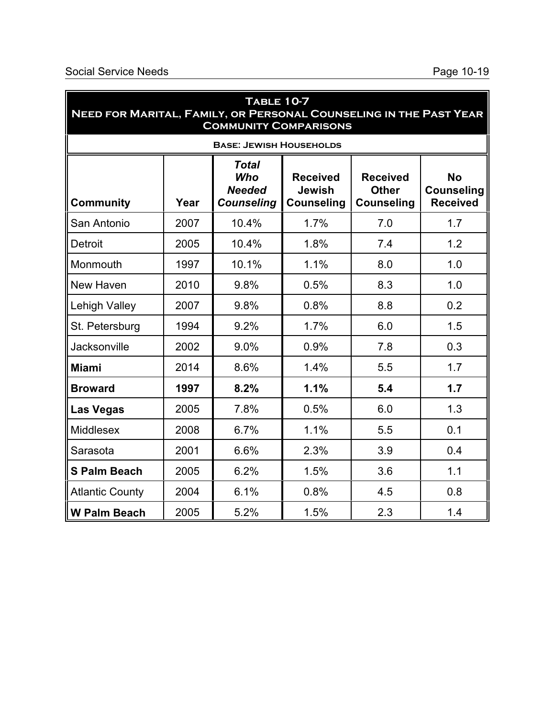| TABLE 10-7<br>NEED FOR MARITAL, FAMILY, OR PERSONAL COUNSELING IN THE PAST YEAR<br><b>COMMUNITY COMPARISONS</b>                                                                                                                                                    |      |                                |      |     |     |  |  |  |  |
|--------------------------------------------------------------------------------------------------------------------------------------------------------------------------------------------------------------------------------------------------------------------|------|--------------------------------|------|-----|-----|--|--|--|--|
|                                                                                                                                                                                                                                                                    |      | <b>BASE: JEWISH HOUSEHOLDS</b> |      |     |     |  |  |  |  |
| <b>Total</b><br><b>No</b><br><b>Who</b><br><b>Received</b><br><b>Received</b><br><b>Jewish</b><br><b>Other</b><br><b>Needed</b><br><b>Counseling</b><br><b>Received</b><br>Year<br><b>Counseling</b><br><b>Community</b><br><b>Counseling</b><br><b>Counseling</b> |      |                                |      |     |     |  |  |  |  |
| San Antonio                                                                                                                                                                                                                                                        | 2007 | 10.4%                          | 1.7% | 7.0 | 1.7 |  |  |  |  |
| <b>Detroit</b>                                                                                                                                                                                                                                                     | 2005 | 10.4%                          | 1.8% | 7.4 | 1.2 |  |  |  |  |
| Monmouth                                                                                                                                                                                                                                                           | 1997 | 10.1%                          | 1.1% | 8.0 | 1.0 |  |  |  |  |
| New Haven                                                                                                                                                                                                                                                          | 2010 | 9.8%                           | 0.5% | 8.3 | 1.0 |  |  |  |  |
| Lehigh Valley                                                                                                                                                                                                                                                      | 2007 | 9.8%                           | 0.8% | 8.8 | 0.2 |  |  |  |  |
| St. Petersburg                                                                                                                                                                                                                                                     | 1994 | 9.2%                           | 1.7% | 6.0 | 1.5 |  |  |  |  |
| Jacksonville                                                                                                                                                                                                                                                       | 2002 | 9.0%                           | 0.9% | 7.8 | 0.3 |  |  |  |  |
| <b>Miami</b>                                                                                                                                                                                                                                                       | 2014 | 8.6%                           | 1.4% | 5.5 | 1.7 |  |  |  |  |
| <b>Broward</b>                                                                                                                                                                                                                                                     | 1997 | 8.2%                           | 1.1% | 5.4 | 1.7 |  |  |  |  |
| <b>Las Vegas</b>                                                                                                                                                                                                                                                   | 2005 | 7.8%                           | 0.5% | 6.0 | 1.3 |  |  |  |  |
| <b>Middlesex</b>                                                                                                                                                                                                                                                   | 2008 | 6.7%                           | 1.1% | 5.5 | 0.1 |  |  |  |  |
| Sarasota                                                                                                                                                                                                                                                           | 2001 | 6.6%                           | 2.3% | 3.9 | 0.4 |  |  |  |  |
| <b>S Palm Beach</b>                                                                                                                                                                                                                                                | 2005 | 6.2%                           | 1.5% | 3.6 | 1.1 |  |  |  |  |
| <b>Atlantic County</b>                                                                                                                                                                                                                                             | 2004 | 6.1%                           | 0.8% | 4.5 | 0.8 |  |  |  |  |
| <b>W Palm Beach</b>                                                                                                                                                                                                                                                | 2005 | 5.2%                           | 1.5% | 2.3 | 1.4 |  |  |  |  |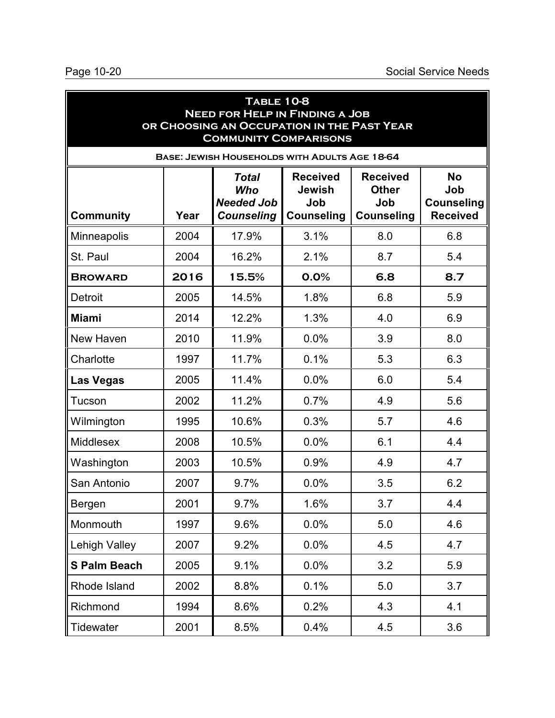| <b>TABLE 10-8</b><br><b>NEED FOR HELP IN FINDING A JOB</b><br>OR CHOOSING AN OCCUPATION IN THE PAST YEAR<br><b>COMMUNITY COMPARISONS</b> |      |                                                               |                                                              |                                                             |                                                          |
|------------------------------------------------------------------------------------------------------------------------------------------|------|---------------------------------------------------------------|--------------------------------------------------------------|-------------------------------------------------------------|----------------------------------------------------------|
|                                                                                                                                          |      | BASE: JEWISH HOUSEHOLDS WITH ADULTS AGE 18-64                 |                                                              |                                                             |                                                          |
| <b>Community</b>                                                                                                                         | Year | <b>Total</b><br>Who<br><b>Needed Job</b><br><b>Counseling</b> | <b>Received</b><br><b>Jewish</b><br>Job<br><b>Counseling</b> | <b>Received</b><br><b>Other</b><br>Job<br><b>Counseling</b> | <b>No</b><br>Job<br><b>Counseling</b><br><b>Received</b> |
| <b>Minneapolis</b>                                                                                                                       | 2004 | 17.9%                                                         | 3.1%                                                         | 8.0                                                         | 6.8                                                      |
| St. Paul                                                                                                                                 | 2004 | 16.2%                                                         | 2.1%                                                         | 8.7                                                         | 5.4                                                      |
| <b>BROWARD</b>                                                                                                                           | 2016 | 15.5%                                                         | 0.0%                                                         | 6.8                                                         | 8.7                                                      |
| <b>Detroit</b>                                                                                                                           | 2005 | 14.5%                                                         | 1.8%                                                         | 6.8                                                         | 5.9                                                      |
| <b>Miami</b>                                                                                                                             | 2014 | 12.2%                                                         | 1.3%                                                         | 4.0                                                         | 6.9                                                      |
| New Haven                                                                                                                                | 2010 | 11.9%                                                         | 0.0%                                                         | 3.9                                                         | 8.0                                                      |
| Charlotte                                                                                                                                | 1997 | 11.7%                                                         | 0.1%                                                         | 5.3                                                         | 6.3                                                      |
| <b>Las Vegas</b>                                                                                                                         | 2005 | 11.4%                                                         | 0.0%                                                         | 6.0                                                         | 5.4                                                      |
| Tucson                                                                                                                                   | 2002 | 11.2%                                                         | 0.7%                                                         | 4.9                                                         | 5.6                                                      |
| Wilmington                                                                                                                               | 1995 | 10.6%                                                         | 0.3%                                                         | 5.7                                                         | 4.6                                                      |
| <b>Middlesex</b>                                                                                                                         | 2008 | 10.5%                                                         | 0.0%                                                         | 6.1                                                         | 4.4                                                      |
| Washington                                                                                                                               | 2003 | 10.5%                                                         | 0.9%                                                         | 4.9                                                         | 4.7                                                      |
| San Antonio                                                                                                                              | 2007 | 9.7%                                                          | 0.0%                                                         | 3.5                                                         | 6.2                                                      |
| Bergen                                                                                                                                   | 2001 | 9.7%                                                          | 1.6%                                                         | 3.7                                                         | 4.4                                                      |
| Monmouth                                                                                                                                 | 1997 | 9.6%                                                          | 0.0%                                                         | 5.0                                                         | 4.6                                                      |
| <b>Lehigh Valley</b>                                                                                                                     | 2007 | 9.2%                                                          | 0.0%                                                         | 4.5                                                         | 4.7                                                      |
| <b>S Palm Beach</b>                                                                                                                      | 2005 | 9.1%                                                          | 0.0%                                                         | 3.2                                                         | 5.9                                                      |
| Rhode Island                                                                                                                             | 2002 | 8.8%                                                          | 0.1%                                                         | 5.0                                                         | 3.7                                                      |
| Richmond                                                                                                                                 | 1994 | 8.6%                                                          | 0.2%                                                         | 4.3                                                         | 4.1                                                      |
| Tidewater                                                                                                                                | 2001 | 8.5%                                                          | 0.4%                                                         | 4.5                                                         | 3.6                                                      |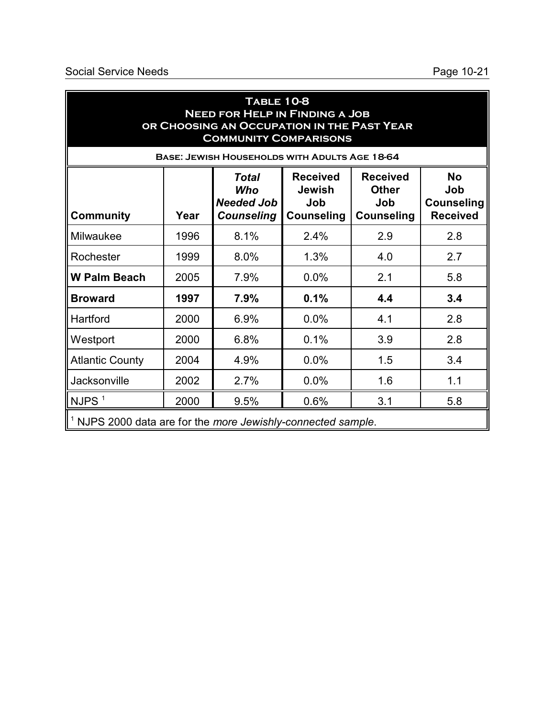| <b>TABLE 10-8</b><br><b>NEED FOR HELP IN FINDING A JOB</b><br>OR CHOOSING AN OCCUPATION IN THE PAST YEAR<br><b>COMMUNITY COMPARISONS</b> |      |                                                               |                                                              |                                                             |                                                          |
|------------------------------------------------------------------------------------------------------------------------------------------|------|---------------------------------------------------------------|--------------------------------------------------------------|-------------------------------------------------------------|----------------------------------------------------------|
|                                                                                                                                          |      | BASE: JEWISH HOUSEHOLDS WITH ADULTS AGE 18-64                 |                                                              |                                                             |                                                          |
| Community                                                                                                                                | Year | <b>Total</b><br>Who<br><b>Needed Job</b><br><b>Counseling</b> | <b>Received</b><br><b>Jewish</b><br>Job<br><b>Counseling</b> | <b>Received</b><br><b>Other</b><br>Job<br><b>Counseling</b> | <b>No</b><br>Job<br><b>Counseling</b><br><b>Received</b> |
| Milwaukee                                                                                                                                | 1996 | 8.1%                                                          | 2.4%                                                         | 2.9                                                         | 2.8                                                      |
| Rochester                                                                                                                                | 1999 | 8.0%                                                          | 1.3%                                                         | 4.0                                                         | 2.7                                                      |
| <b>W Palm Beach</b>                                                                                                                      | 2005 | 7.9%                                                          | 0.0%                                                         | 2.1                                                         | 5.8                                                      |
| <b>Broward</b>                                                                                                                           | 1997 | 7.9%                                                          | 0.1%                                                         | 4.4                                                         | 3.4                                                      |
| Hartford                                                                                                                                 | 2000 | 6.9%                                                          | 0.0%                                                         | 4.1                                                         | 2.8                                                      |
| Westport                                                                                                                                 | 2000 | 6.8%                                                          | 0.1%                                                         | 3.9                                                         | 2.8                                                      |
| <b>Atlantic County</b>                                                                                                                   | 2004 | 4.9%                                                          | 0.0%                                                         | 1.5                                                         | 3.4                                                      |
| Jacksonville                                                                                                                             | 2002 | 2.7%                                                          | 0.0%                                                         | 1.6                                                         | 1.1                                                      |
| NJPS <sup>1</sup>                                                                                                                        | 2000 | 9.5%                                                          | 0.6%                                                         | 3.1                                                         | 5.8                                                      |
| <sup>1</sup> NJPS 2000 data are for the more Jewishly-connected sample.                                                                  |      |                                                               |                                                              |                                                             |                                                          |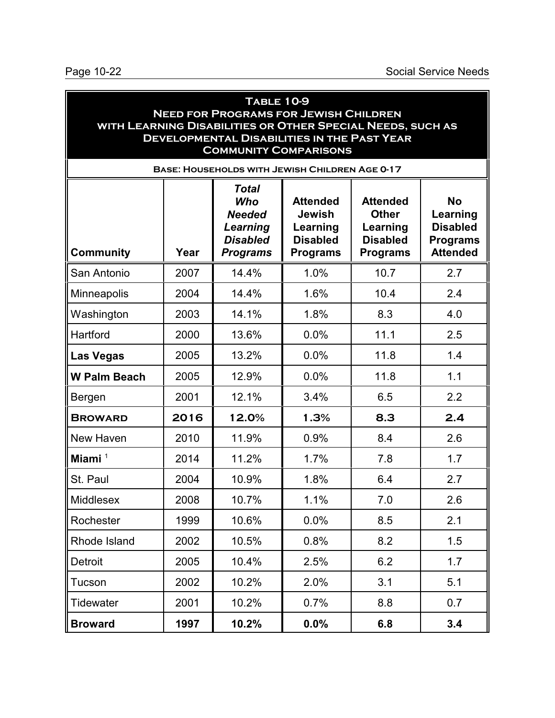#### **Table 10-9 Need for Programs for Jewish Children with Learning Disabilities or Other Special Needs, such as Developmental Disabilities in the Past Year Community Comparisons Base: Households with Jewish Children Age 0-17 Community Year** *Total Who Needed Learning Disabled Programs* **Attended Jewish Learning Disabled Programs Attended Other Learning Disabled Programs No Learning Disabled Programs Attended** San Antonio | 2007 | 14.4% | 1.0% | 10.7 | 2.7 Minneapolis | 2004 | 14.4% | 1.6% | 10.4 | 2.4 Washington | 2003 | 14.1% | 1.8% | 8.3 | 4.0 Hartford 2000 13.6% 0.0% 11.1 2.5 **Las Vegas**  $\begin{array}{|c|c|c|c|c|c|} \hline \end{array}$  2005 | 13.2% | 0.0% | 11.8 | 1.4 **W Palm Beach | 2005 | 12.9% | 0.0% | 11.8 | 1.1** Bergen 2001 12.1% 3.4% 6.5 2.2 **Broward 2016 12.0% 1.3% 8.3 2.4** New Haven 1 2010 1 11.9% 1 0.9% 1 8.4 1 2.6 **Miami** 1 2014 11.2% 1.7% 7.8 1.7 St. Paul 2004 10.9% 1.8% 6.4 2.7 Middlesex 2008 10.7% 1.1% 7.0 2.6 Rochester | 1999 | 10.6% | 0.0% | 8.5 | 2.1 Rhode Island | 2002 | 10.5% | 0.8% | 8.2 | 1.5 Detroit 2005 10.4% 2.5% 6.2 1.7 Tucson 2002 10.2% 2.0% 3.1 5.1

Tidewater | 2001 | 10.2% | 0.7% | 8.8 | 0.7

**Broward 1997 10.2% 0.0% 6.8 3.4**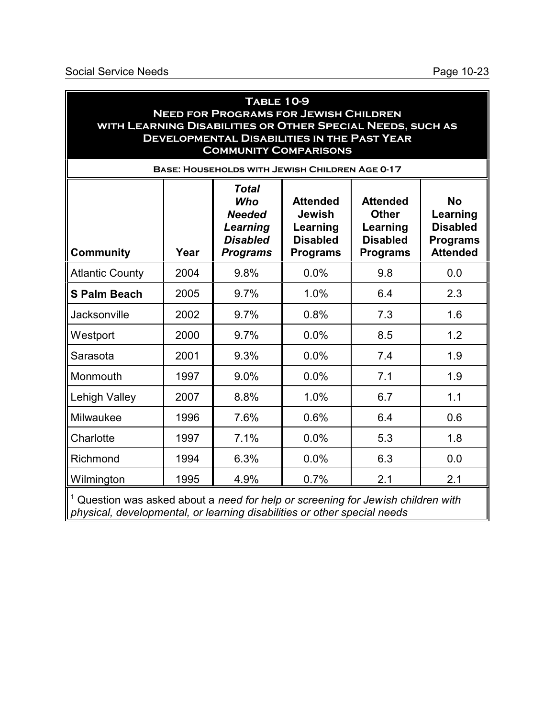| <b>TABLE 10-9</b><br><b>NEED FOR PROGRAMS FOR JEWISH CHILDREN</b><br>WITH LEARNING DISABILITIES OR OTHER SPECIAL NEEDS, SUCH AS<br><b>DEVELOPMENTAL DISABILITIES IN THE PAST YEAR</b><br><b>COMMUNITY COMPARISONS</b><br><b>BASE: HOUSEHOLDS WITH JEWISH CHILDREN AGE 0-17</b> |      |                                                                                        |                                                                                    |                                                                                   |                                                                                |
|--------------------------------------------------------------------------------------------------------------------------------------------------------------------------------------------------------------------------------------------------------------------------------|------|----------------------------------------------------------------------------------------|------------------------------------------------------------------------------------|-----------------------------------------------------------------------------------|--------------------------------------------------------------------------------|
| <b>Community</b>                                                                                                                                                                                                                                                               | Year | <b>Total</b><br>Who<br><b>Needed</b><br>Learning<br><b>Disabled</b><br><b>Programs</b> | <b>Attended</b><br><b>Jewish</b><br>Learning<br><b>Disabled</b><br><b>Programs</b> | <b>Attended</b><br><b>Other</b><br>Learning<br><b>Disabled</b><br><b>Programs</b> | <b>No</b><br>Learning<br><b>Disabled</b><br><b>Programs</b><br><b>Attended</b> |
| <b>Atlantic County</b>                                                                                                                                                                                                                                                         | 2004 | 9.8%                                                                                   | 0.0%                                                                               | 9.8                                                                               | 0.0                                                                            |
| <b>S Palm Beach</b>                                                                                                                                                                                                                                                            | 2005 | 9.7%                                                                                   | 1.0%                                                                               | 6.4                                                                               | 2.3                                                                            |
| Jacksonville                                                                                                                                                                                                                                                                   | 2002 | 9.7%                                                                                   | 0.8%                                                                               | 7.3                                                                               | 1.6                                                                            |
| Westport                                                                                                                                                                                                                                                                       | 2000 | 9.7%                                                                                   | 0.0%                                                                               | 8.5                                                                               | 1.2                                                                            |
| Sarasota                                                                                                                                                                                                                                                                       | 2001 | 9.3%                                                                                   | 0.0%                                                                               | 7.4                                                                               | 1.9                                                                            |
| Monmouth                                                                                                                                                                                                                                                                       | 1997 | 9.0%                                                                                   | 0.0%                                                                               | 7.1                                                                               | 1.9                                                                            |
| Lehigh Valley                                                                                                                                                                                                                                                                  | 2007 | 8.8%                                                                                   | 1.0%                                                                               | 6.7                                                                               | 1.1                                                                            |
| Milwaukee                                                                                                                                                                                                                                                                      | 1996 | 7.6%                                                                                   | 0.6%                                                                               | 6.4                                                                               | 0.6                                                                            |
| Charlotte                                                                                                                                                                                                                                                                      | 1997 | 7.1%                                                                                   | 0.0%                                                                               | 5.3                                                                               | 1.8                                                                            |
| Richmond                                                                                                                                                                                                                                                                       | 1994 | 6.3%                                                                                   | 0.0%                                                                               | 6.3                                                                               | 0.0                                                                            |
| Wilmington                                                                                                                                                                                                                                                                     | 1995 | 4.9%                                                                                   | 0.7%                                                                               | 2.1                                                                               | 2.1                                                                            |
| $1$ Question was asked about a need for help or screening for lewish children with                                                                                                                                                                                             |      |                                                                                        |                                                                                    |                                                                                   |                                                                                |

 Question was asked about a *need for help or screening for Jewish children with physical, developmental, or learning disabilities or other special needs*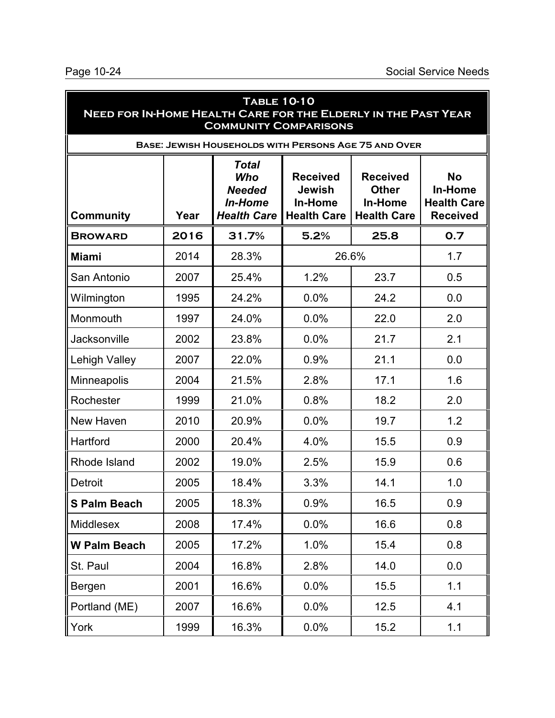| <b>TABLE 10-10</b><br><b>NEED FOR IN-HOME HEALTH CARE FOR THE ELDERLY IN THE PAST YEAR</b><br><b>COMMUNITY COMPARISONS</b> |      |                                                                              |                                                                          |                                                                  |                                                                      |
|----------------------------------------------------------------------------------------------------------------------------|------|------------------------------------------------------------------------------|--------------------------------------------------------------------------|------------------------------------------------------------------|----------------------------------------------------------------------|
|                                                                                                                            |      | <b>BASE: JEWISH HOUSEHOLDS WITH PERSONS AGE 75 AND OVER</b>                  |                                                                          |                                                                  |                                                                      |
| <b>Community</b>                                                                                                           | Year | <b>Total</b><br>Who<br><b>Needed</b><br><b>In-Home</b><br><b>Health Care</b> | <b>Received</b><br><b>Jewish</b><br><b>In-Home</b><br><b>Health Care</b> | <b>Received</b><br><b>Other</b><br>In-Home<br><b>Health Care</b> | <b>No</b><br><b>In-Home</b><br><b>Health Care</b><br><b>Received</b> |
| <b>BROWARD</b>                                                                                                             | 2016 | 31.7%                                                                        | 5.2%                                                                     | 25.8                                                             | 0.7                                                                  |
| <b>Miami</b>                                                                                                               | 2014 | 28.3%                                                                        | 26.6%                                                                    |                                                                  | 1.7                                                                  |
| San Antonio                                                                                                                | 2007 | 25.4%                                                                        | 1.2%                                                                     | 23.7                                                             | 0.5                                                                  |
| Wilmington                                                                                                                 | 1995 | 24.2%                                                                        | 0.0%                                                                     | 24.2                                                             | 0.0                                                                  |
| Monmouth                                                                                                                   | 1997 | 24.0%                                                                        | 0.0%                                                                     | 22.0                                                             | 2.0                                                                  |
| Jacksonville                                                                                                               | 2002 | 23.8%                                                                        | 0.0%                                                                     | 21.7                                                             | 2.1                                                                  |
| Lehigh Valley                                                                                                              | 2007 | 22.0%                                                                        | 0.9%                                                                     | 21.1                                                             | 0.0                                                                  |
| <b>Minneapolis</b>                                                                                                         | 2004 | 21.5%                                                                        | 2.8%                                                                     | 17.1                                                             | 1.6                                                                  |
| Rochester                                                                                                                  | 1999 | 21.0%                                                                        | 0.8%                                                                     | 18.2                                                             | 2.0                                                                  |
| New Haven                                                                                                                  | 2010 | 20.9%                                                                        | 0.0%                                                                     | 19.7                                                             | 1.2                                                                  |
| Hartford                                                                                                                   | 2000 | 20.4%                                                                        | 4.0%                                                                     | 15.5                                                             | 0.9                                                                  |
| Rhode Island                                                                                                               | 2002 | 19.0%                                                                        | 2.5%                                                                     | 15.9                                                             | 0.6                                                                  |
| <b>Detroit</b>                                                                                                             | 2005 | 18.4%                                                                        | 3.3%                                                                     | 14.1                                                             | 1.0                                                                  |
| <b>S Palm Beach</b>                                                                                                        | 2005 | 18.3%                                                                        | 0.9%                                                                     | 16.5                                                             | 0.9                                                                  |
| Middlesex                                                                                                                  | 2008 | 17.4%                                                                        | 0.0%                                                                     | 16.6                                                             | 0.8                                                                  |
| <b>W Palm Beach</b>                                                                                                        | 2005 | 17.2%                                                                        | 1.0%                                                                     | 15.4                                                             | 0.8                                                                  |
| St. Paul                                                                                                                   | 2004 | 16.8%                                                                        | 2.8%                                                                     | 14.0                                                             | 0.0                                                                  |
| Bergen                                                                                                                     | 2001 | 16.6%                                                                        | 0.0%                                                                     | 15.5                                                             | 1.1                                                                  |
| Portland (ME)                                                                                                              | 2007 | 16.6%                                                                        | 0.0%                                                                     | 12.5                                                             | 4.1                                                                  |
| York                                                                                                                       | 1999 | 16.3%                                                                        | 0.0%                                                                     | 15.2                                                             | 1.1                                                                  |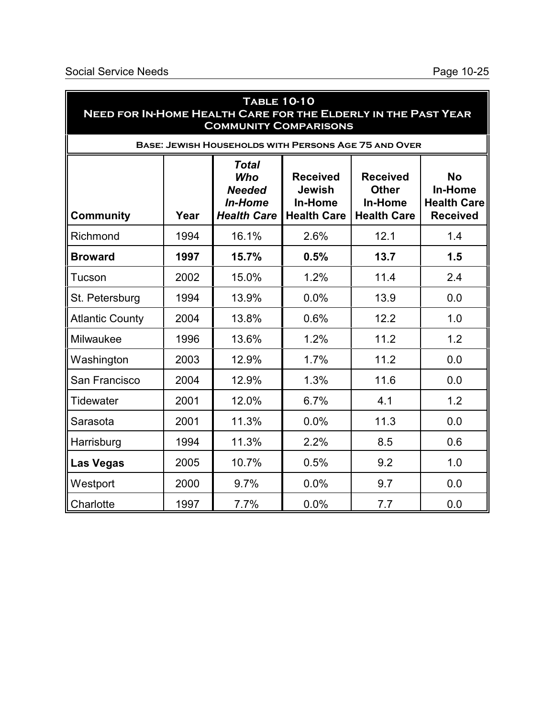| <b>TABLE 10-10</b><br>NEED FOR IN-HOME HEALTH CARE FOR THE ELDERLY IN THE PAST YEAR<br><b>COMMUNITY COMPARISONS</b> |      |                                                                              |                                                                          |                                                                  |                                                                      |
|---------------------------------------------------------------------------------------------------------------------|------|------------------------------------------------------------------------------|--------------------------------------------------------------------------|------------------------------------------------------------------|----------------------------------------------------------------------|
|                                                                                                                     |      | <b>BASE: JEWISH HOUSEHOLDS WITH PERSONS AGE 75 AND OVER</b>                  |                                                                          |                                                                  |                                                                      |
| <b>Community</b>                                                                                                    | Year | <b>Total</b><br>Who<br><b>Needed</b><br><b>In-Home</b><br><b>Health Care</b> | <b>Received</b><br><b>Jewish</b><br><b>In-Home</b><br><b>Health Care</b> | <b>Received</b><br><b>Other</b><br>In-Home<br><b>Health Care</b> | <b>No</b><br><b>In-Home</b><br><b>Health Care</b><br><b>Received</b> |
| Richmond                                                                                                            | 1994 | 16.1%                                                                        | 2.6%                                                                     | 12.1                                                             | 1.4                                                                  |
| <b>Broward</b>                                                                                                      | 1997 | 15.7%                                                                        | 0.5%                                                                     | 13.7                                                             | 1.5                                                                  |
| <b>Tucson</b>                                                                                                       | 2002 | 15.0%                                                                        | 1.2%                                                                     | 11.4                                                             | 2.4                                                                  |
| St. Petersburg                                                                                                      | 1994 | 13.9%                                                                        | 0.0%                                                                     | 13.9                                                             | 0.0                                                                  |
| <b>Atlantic County</b>                                                                                              | 2004 | 13.8%                                                                        | 0.6%                                                                     | 12.2                                                             | 1.0                                                                  |
| Milwaukee                                                                                                           | 1996 | 13.6%                                                                        | 1.2%                                                                     | 11.2                                                             | 1.2                                                                  |
| Washington                                                                                                          | 2003 | 12.9%                                                                        | 1.7%                                                                     | 11.2                                                             | 0.0                                                                  |
| San Francisco                                                                                                       | 2004 | 12.9%                                                                        | 1.3%                                                                     | 11.6                                                             | 0.0                                                                  |
| <b>Tidewater</b>                                                                                                    | 2001 | 12.0%                                                                        | 6.7%                                                                     | 4.1                                                              | 1.2                                                                  |
| Sarasota                                                                                                            | 2001 | 11.3%                                                                        | 0.0%                                                                     | 11.3                                                             | 0.0                                                                  |
| Harrisburg                                                                                                          | 1994 | 11.3%                                                                        | 2.2%                                                                     | 8.5                                                              | 0.6                                                                  |
| <b>Las Vegas</b>                                                                                                    | 2005 | 10.7%                                                                        | 0.5%                                                                     | 9.2                                                              | 1.0                                                                  |
| Westport                                                                                                            | 2000 | 9.7%                                                                         | 0.0%                                                                     | 9.7                                                              | 0.0                                                                  |
| Charlotte                                                                                                           | 1997 | 7.7%                                                                         | 0.0%                                                                     | 7.7                                                              | 0.0                                                                  |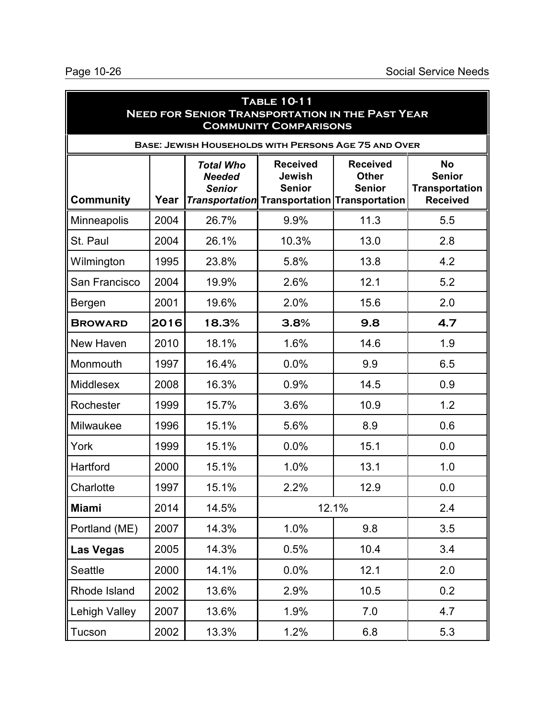| <b>TABLE 10-11</b><br><b>NEED FOR SENIOR TRANSPORTATION IN THE PAST YEAR</b><br><b>COMMUNITY COMPARISONS</b> |      |                                                    |                                                                                                          |                                                  |                                                                        |  |
|--------------------------------------------------------------------------------------------------------------|------|----------------------------------------------------|----------------------------------------------------------------------------------------------------------|--------------------------------------------------|------------------------------------------------------------------------|--|
|                                                                                                              |      |                                                    | <b>BASE: JEWISH HOUSEHOLDS WITH PERSONS AGE 75 AND OVER</b>                                              |                                                  |                                                                        |  |
| Community                                                                                                    | Year | <b>Total Who</b><br><b>Needed</b><br><b>Senior</b> | <b>Received</b><br><b>Jewish</b><br><b>Senior</b><br><b>Transportation</b> Transportation Transportation | <b>Received</b><br><b>Other</b><br><b>Senior</b> | <b>No</b><br><b>Senior</b><br><b>Transportation</b><br><b>Received</b> |  |
| <b>Minneapolis</b>                                                                                           | 2004 | 26.7%                                              | 9.9%                                                                                                     | 11.3                                             | 5.5                                                                    |  |
| St. Paul                                                                                                     | 2004 | 26.1%                                              | 10.3%                                                                                                    | 13.0                                             | 2.8                                                                    |  |
| Wilmington                                                                                                   | 1995 | 23.8%                                              | 5.8%                                                                                                     | 13.8                                             | 4.2                                                                    |  |
| San Francisco                                                                                                | 2004 | 19.9%                                              | 2.6%                                                                                                     | 12.1                                             | 5.2                                                                    |  |
| Bergen                                                                                                       | 2001 | 19.6%                                              | 2.0%                                                                                                     | 15.6                                             | 2.0                                                                    |  |
| <b>BROWARD</b>                                                                                               | 2016 | 18.3%                                              | 3.8%                                                                                                     | 9.8                                              | 4.7                                                                    |  |
| New Haven                                                                                                    | 2010 | 18.1%                                              | 1.6%                                                                                                     | 14.6                                             | 1.9                                                                    |  |
| Monmouth                                                                                                     | 1997 | 16.4%                                              | 0.0%                                                                                                     | 9.9                                              | 6.5                                                                    |  |
| <b>Middlesex</b>                                                                                             | 2008 | 16.3%                                              | 0.9%                                                                                                     | 14.5                                             | 0.9                                                                    |  |
| Rochester                                                                                                    | 1999 | 15.7%                                              | 3.6%                                                                                                     | 10.9                                             | 1.2                                                                    |  |
| Milwaukee                                                                                                    | 1996 | 15.1%                                              | 5.6%                                                                                                     | 8.9                                              | 0.6                                                                    |  |
| York                                                                                                         | 1999 | 15.1%                                              | 0.0%                                                                                                     | 15.1                                             | 0.0                                                                    |  |
| Hartford                                                                                                     | 2000 | 15.1%                                              | 1.0%                                                                                                     | 13.1                                             | 1.0                                                                    |  |
| Charlotte                                                                                                    | 1997 | 15.1%                                              | 2.2%                                                                                                     | 12.9                                             | 0.0                                                                    |  |
| <b>Miami</b>                                                                                                 | 2014 | 14.5%                                              |                                                                                                          | 12.1%                                            | 2.4                                                                    |  |
| Portland (ME)                                                                                                | 2007 | 14.3%                                              | 1.0%                                                                                                     | 9.8                                              | 3.5                                                                    |  |
| Las Vegas                                                                                                    | 2005 | 14.3%                                              | 0.5%                                                                                                     | 10.4                                             | 3.4                                                                    |  |
| Seattle                                                                                                      | 2000 | 14.1%                                              | 0.0%                                                                                                     | 12.1                                             | 2.0                                                                    |  |
| Rhode Island                                                                                                 | 2002 | 13.6%                                              | 2.9%                                                                                                     | 10.5                                             | 0.2                                                                    |  |
| Lehigh Valley                                                                                                | 2007 | 13.6%                                              | 1.9%                                                                                                     | 7.0                                              | 4.7                                                                    |  |
| Tucson                                                                                                       | 2002 | 13.3%                                              | 1.2%                                                                                                     | 6.8                                              | 5.3                                                                    |  |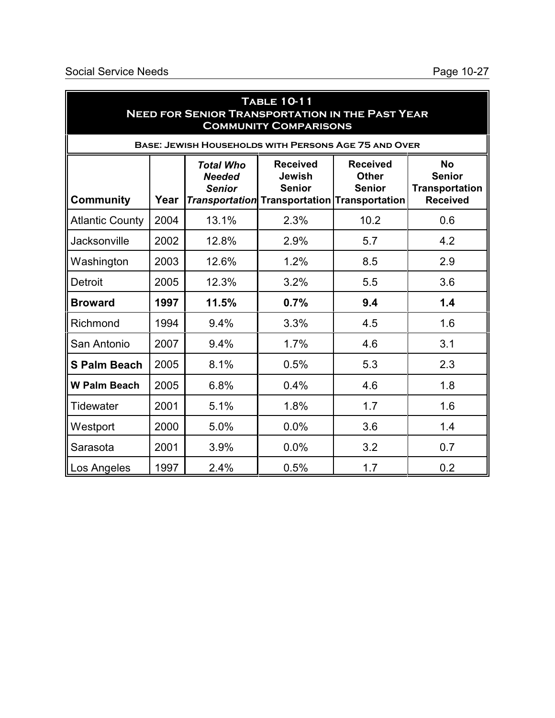| <b>TABLE 10-11</b><br><b>NEED FOR SENIOR TRANSPORTATION IN THE PAST YEAR</b><br><b>COMMUNITY COMPARISONS</b> |      |                                                    |                                                                                                   |                                                  |                                                                        |  |
|--------------------------------------------------------------------------------------------------------------|------|----------------------------------------------------|---------------------------------------------------------------------------------------------------|--------------------------------------------------|------------------------------------------------------------------------|--|
|                                                                                                              |      |                                                    | <b>BASE: JEWISH HOUSEHOLDS WITH PERSONS AGE 75 AND OVER</b>                                       |                                                  |                                                                        |  |
| <b>Community</b>                                                                                             | Year | <b>Total Who</b><br><b>Needed</b><br><b>Senior</b> | <b>Received</b><br>Jewish<br><b>Senior</b><br><b>Transportation</b> Transportation Transportation | <b>Received</b><br><b>Other</b><br><b>Senior</b> | <b>No</b><br><b>Senior</b><br><b>Transportation</b><br><b>Received</b> |  |
| <b>Atlantic County</b>                                                                                       | 2004 | 13.1%                                              | 2.3%                                                                                              | 10.2                                             | 0.6                                                                    |  |
| <b>Jacksonville</b>                                                                                          | 2002 | 12.8%                                              | 2.9%                                                                                              | 5.7                                              | 4.2                                                                    |  |
| Washington                                                                                                   | 2003 | 12.6%                                              | 1.2%                                                                                              | 8.5                                              | 2.9                                                                    |  |
| <b>Detroit</b>                                                                                               | 2005 | 12.3%                                              | 3.2%                                                                                              | 5.5                                              | 3.6                                                                    |  |
| <b>Broward</b>                                                                                               | 1997 | 11.5%                                              | 0.7%                                                                                              | 9.4                                              | 1.4                                                                    |  |
| Richmond                                                                                                     | 1994 | 9.4%                                               | 3.3%                                                                                              | 4.5                                              | 1.6                                                                    |  |
| San Antonio                                                                                                  | 2007 | 9.4%                                               | 1.7%                                                                                              | 4.6                                              | 3.1                                                                    |  |
| <b>S Palm Beach</b>                                                                                          | 2005 | 8.1%                                               | 0.5%                                                                                              | 5.3                                              | 2.3                                                                    |  |
| <b>W Palm Beach</b>                                                                                          | 2005 | 6.8%                                               | 0.4%                                                                                              | 4.6                                              | 1.8                                                                    |  |
| Tidewater                                                                                                    | 2001 | 5.1%                                               | 1.8%                                                                                              | 1.7                                              | 1.6                                                                    |  |
| Westport                                                                                                     | 2000 | 5.0%                                               | 0.0%                                                                                              | 3.6                                              | 1.4                                                                    |  |
| Sarasota                                                                                                     | 2001 | 3.9%                                               | 0.0%                                                                                              | 3.2                                              | 0.7                                                                    |  |
| Los Angeles                                                                                                  | 1997 | 2.4%                                               | 0.5%                                                                                              | 1.7                                              | 0.2                                                                    |  |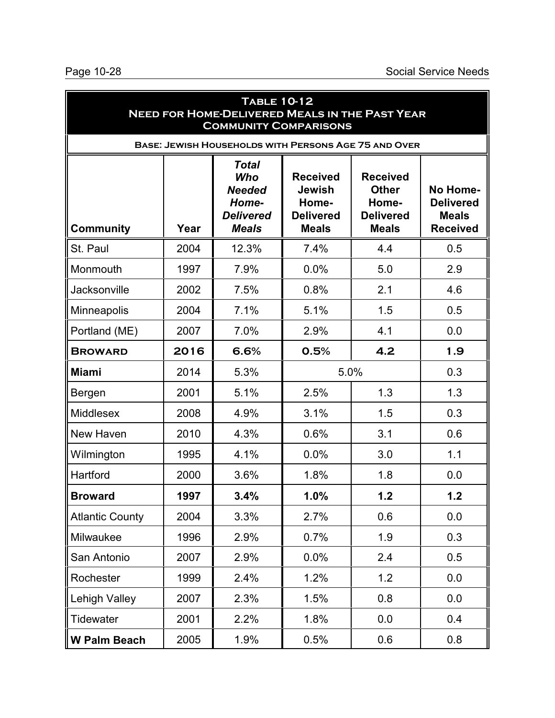| <b>TABLE 10-12</b><br><b>NEED FOR HOME-DELIVERED MEALS IN THE PAST YEAR</b><br><b>COMMUNITY COMPARISONS</b> |      |                                                                                   |                                                                               |                                                                              |                                                                 |
|-------------------------------------------------------------------------------------------------------------|------|-----------------------------------------------------------------------------------|-------------------------------------------------------------------------------|------------------------------------------------------------------------------|-----------------------------------------------------------------|
|                                                                                                             |      | <b>BASE: JEWISH HOUSEHOLDS WITH PERSONS AGE 75 AND OVER</b>                       |                                                                               |                                                                              |                                                                 |
| <b>Community</b>                                                                                            | Year | <b>Total</b><br>Who<br><b>Needed</b><br>Home-<br><b>Delivered</b><br><b>Meals</b> | <b>Received</b><br><b>Jewish</b><br>Home-<br><b>Delivered</b><br><b>Meals</b> | <b>Received</b><br><b>Other</b><br>Home-<br><b>Delivered</b><br><b>Meals</b> | No Home-<br><b>Delivered</b><br><b>Meals</b><br><b>Received</b> |
| St. Paul                                                                                                    | 2004 | 12.3%                                                                             | 7.4%                                                                          | 4.4                                                                          | 0.5                                                             |
| Monmouth                                                                                                    | 1997 | 7.9%                                                                              | 0.0%                                                                          | 5.0                                                                          | 2.9                                                             |
| Jacksonville                                                                                                | 2002 | 7.5%                                                                              | 0.8%                                                                          | 2.1                                                                          | 4.6                                                             |
| Minneapolis                                                                                                 | 2004 | 7.1%                                                                              | 5.1%                                                                          | 1.5                                                                          | 0.5                                                             |
| Portland (ME)                                                                                               | 2007 | 7.0%                                                                              | 2.9%                                                                          | 4.1                                                                          | 0.0                                                             |
| <b>BROWARD</b>                                                                                              | 2016 | 6.6%                                                                              | 0.5%                                                                          | 4.2                                                                          | 1.9                                                             |
| <b>Miami</b>                                                                                                | 2014 | 5.3%                                                                              | 5.0%                                                                          |                                                                              | 0.3                                                             |
| Bergen                                                                                                      | 2001 | 5.1%                                                                              | 2.5%                                                                          | 1.3                                                                          | 1.3                                                             |
| <b>Middlesex</b>                                                                                            | 2008 | 4.9%                                                                              | 3.1%                                                                          | 1.5                                                                          | 0.3                                                             |
| New Haven                                                                                                   | 2010 | 4.3%                                                                              | 0.6%                                                                          | 3.1                                                                          | 0.6                                                             |
| Wilmington                                                                                                  | 1995 | 4.1%                                                                              | 0.0%                                                                          | 3.0                                                                          | 1.1                                                             |
| Hartford                                                                                                    | 2000 | 3.6%                                                                              | 1.8%                                                                          | 1.8                                                                          | 0.0                                                             |
| <b>Broward</b>                                                                                              | 1997 | 3.4%                                                                              | 1.0%                                                                          | 1.2                                                                          | 1.2                                                             |
| <b>Atlantic County</b>                                                                                      | 2004 | 3.3%                                                                              | 2.7%                                                                          | 0.6                                                                          | 0.0                                                             |
| Milwaukee                                                                                                   | 1996 | 2.9%                                                                              | 0.7%                                                                          | 1.9                                                                          | 0.3                                                             |
| San Antonio                                                                                                 | 2007 | 2.9%                                                                              | 0.0%                                                                          | 2.4                                                                          | 0.5                                                             |
| Rochester                                                                                                   | 1999 | 2.4%                                                                              | 1.2%                                                                          | 1.2                                                                          | 0.0                                                             |
| <b>Lehigh Valley</b>                                                                                        | 2007 | 2.3%                                                                              | 1.5%                                                                          | 0.8                                                                          | 0.0                                                             |
| Tidewater                                                                                                   | 2001 | 2.2%                                                                              | 1.8%                                                                          | 0.0                                                                          | 0.4                                                             |
| W Palm Beach                                                                                                | 2005 | 1.9%                                                                              | 0.5%                                                                          | 0.6                                                                          | 0.8                                                             |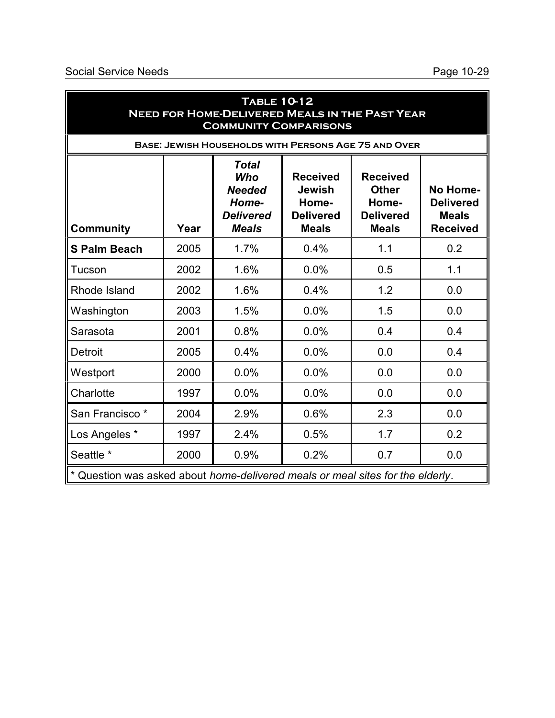| <b>TABLE 10-12</b><br><b>NEED FOR HOME-DELIVERED MEALS IN THE PAST YEAR</b><br><b>COMMUNITY COMPARISONS</b> |      |                                                                                   |                                                                               |                                                                              |                                                                 |
|-------------------------------------------------------------------------------------------------------------|------|-----------------------------------------------------------------------------------|-------------------------------------------------------------------------------|------------------------------------------------------------------------------|-----------------------------------------------------------------|
|                                                                                                             |      | <b>BASE: JEWISH HOUSEHOLDS WITH PERSONS AGE 75 AND OVER</b>                       |                                                                               |                                                                              |                                                                 |
| <b>Community</b>                                                                                            | Year | <b>Total</b><br>Who<br><b>Needed</b><br>Home-<br><b>Delivered</b><br><b>Meals</b> | <b>Received</b><br><b>Jewish</b><br>Home-<br><b>Delivered</b><br><b>Meals</b> | <b>Received</b><br><b>Other</b><br>Home-<br><b>Delivered</b><br><b>Meals</b> | No Home-<br><b>Delivered</b><br><b>Meals</b><br><b>Received</b> |
| <b>S Palm Beach</b>                                                                                         | 2005 | 1.7%                                                                              | 0.4%                                                                          | 1.1                                                                          | 0.2                                                             |
| Tucson                                                                                                      | 2002 | 1.6%                                                                              | 0.0%                                                                          | 0.5                                                                          | 1.1                                                             |
| Rhode Island                                                                                                | 2002 | 1.6%                                                                              | 0.4%                                                                          | 1.2                                                                          | 0.0                                                             |
| Washington                                                                                                  | 2003 | 1.5%                                                                              | 0.0%                                                                          | 1.5                                                                          | 0.0                                                             |
| Sarasota                                                                                                    | 2001 | 0.8%                                                                              | 0.0%                                                                          | 0.4                                                                          | 0.4                                                             |
| Detroit                                                                                                     | 2005 | 0.4%                                                                              | 0.0%                                                                          | 0.0                                                                          | 0.4                                                             |
| Westport                                                                                                    | 2000 | 0.0%                                                                              | 0.0%                                                                          | 0.0                                                                          | 0.0                                                             |
| Charlotte                                                                                                   | 1997 | 0.0%                                                                              | 0.0%                                                                          | 0.0                                                                          | 0.0                                                             |
| San Francisco <sup>*</sup>                                                                                  | 2004 | 2.9%                                                                              | 0.6%                                                                          | 2.3                                                                          | 0.0                                                             |
| Los Angeles *                                                                                               | 1997 | 2.4%                                                                              | 0.5%                                                                          | 1.7                                                                          | 0.2                                                             |
| Seattle *                                                                                                   | 2000 | 0.9%                                                                              | 0.2%                                                                          | 0.7                                                                          | 0.0                                                             |
| * Question was asked about home-delivered meals or meal sites for the elderly.                              |      |                                                                                   |                                                                               |                                                                              |                                                                 |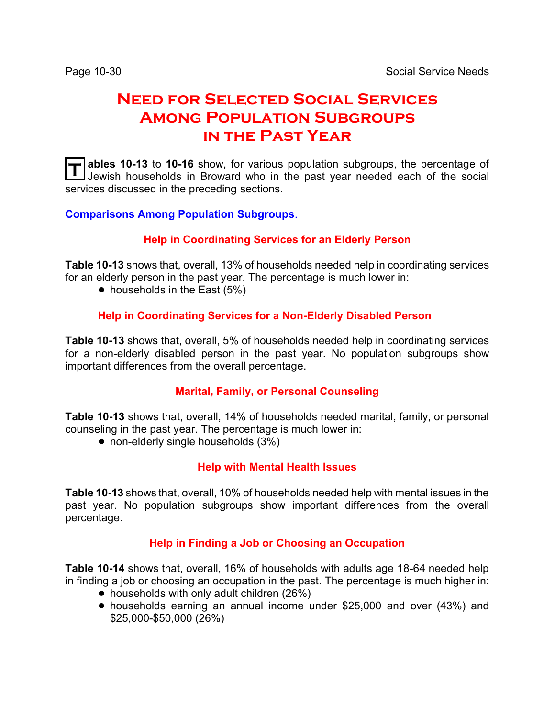# **Need for Selected Social Services Among Population Subgroups in the Past Year**

**T** ables 10-13 to 10-16 show, for various population subgroups, the percentage of Jewish households in Broward who in the past year needed each of the social **ables 10-13** to **10-16** show, for various population subgroups, the percentage of services discussed in the preceding sections.

**Comparisons Among Population Subgroups**.

#### **Help in Coordinating Services for an Elderly Person**

**Table 10-13** shows that, overall, 13% of households needed help in coordinating services for an elderly person in the past year. The percentage is much lower in:

 $\bullet$  households in the East (5%)

#### **Help in Coordinating Services for a Non-Elderly Disabled Person**

**Table 10-13** shows that, overall, 5% of households needed help in coordinating services for a non-elderly disabled person in the past year. No population subgroups show important differences from the overall percentage.

#### **Marital, Family, or Personal Counseling**

**Table 10-13** shows that, overall, 14% of households needed marital, family, or personal counseling in the past year. The percentage is much lower in:

• non-elderly single households (3%)

#### **Help with Mental Health Issues**

**Table 10-13** shows that, overall, 10% of households needed help with mental issues in the past year. No population subgroups show important differences from the overall percentage.

#### **Help in Finding a Job or Choosing an Occupation**

**Table 10-14** shows that, overall, 16% of households with adults age 18-64 needed help in finding a job or choosing an occupation in the past. The percentage is much higher in:

- households with only adult children (26%)
- ! households earning an annual income under \$25,000 and over (43%) and \$25,000-\$50,000 (26%)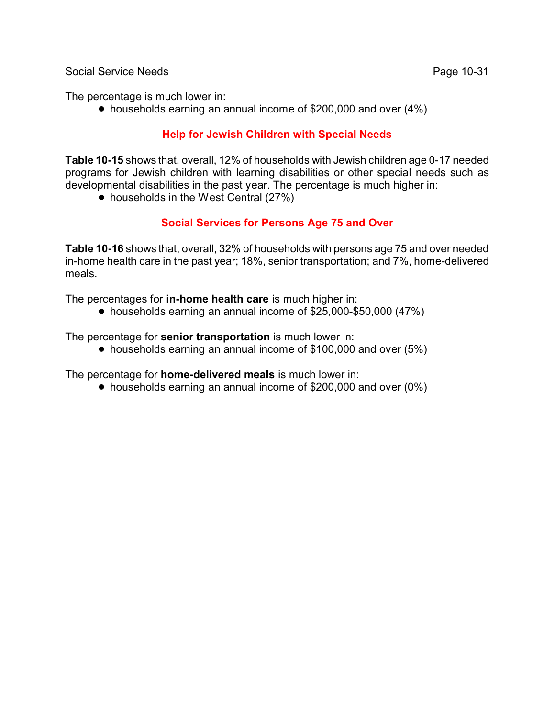The percentage is much lower in:

! households earning an annual income of \$200,000 and over (4%)

### **Help for Jewish Children with Special Needs**

**Table 10-15** shows that, overall, 12% of households with Jewish children age 0-17 needed programs for Jewish children with learning disabilities or other special needs such as developmental disabilities in the past year. The percentage is much higher in:

• households in the West Central (27%)

#### **Social Services for Persons Age 75 and Over**

**Table 10-16** shows that, overall, 32% of households with persons age 75 and over needed in-home health care in the past year; 18%, senior transportation; and 7%, home-delivered meals.

The percentages for **in-home health care** is much higher in:

! households earning an annual income of \$25,000-\$50,000 (47%)

The percentage for **senior transportation** is much lower in:

• households earning an annual income of \$100,000 and over (5%)

The percentage for **home-delivered meals** is much lower in:

• households earning an annual income of \$200,000 and over (0%)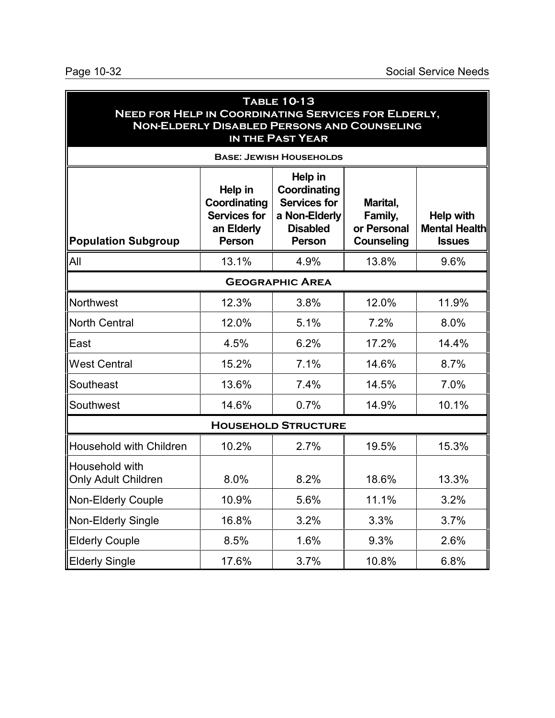| <b>TABLE 10-13</b><br><b>NEED FOR HELP IN COORDINATING SERVICES FOR ELDERLY,</b><br><b>NON-ELDERLY DISABLED PERSONS AND COUNSELING</b><br>IN THE PAST YEAR |                                                                        |                                                                                                     |                                                         |                                                           |  |  |
|------------------------------------------------------------------------------------------------------------------------------------------------------------|------------------------------------------------------------------------|-----------------------------------------------------------------------------------------------------|---------------------------------------------------------|-----------------------------------------------------------|--|--|
|                                                                                                                                                            |                                                                        | <b>BASE: JEWISH HOUSEHOLDS</b>                                                                      |                                                         |                                                           |  |  |
| Population Subgroup                                                                                                                                        | Help in<br>Coordinating<br><b>Services for</b><br>an Elderly<br>Person | Help in<br>Coordinating<br><b>Services for</b><br>a Non-Elderly<br><b>Disabled</b><br><b>Person</b> | Marital,<br>Family,<br>or Personal<br><b>Counseling</b> | <b>Help with</b><br><b>Mental Health</b><br><b>Issues</b> |  |  |
| <b>All</b>                                                                                                                                                 | 13.1%                                                                  | 4.9%                                                                                                | 13.8%                                                   | 9.6%                                                      |  |  |
| <b>GEOGRAPHIC AREA</b>                                                                                                                                     |                                                                        |                                                                                                     |                                                         |                                                           |  |  |
| Northwest                                                                                                                                                  | 12.3%                                                                  | 3.8%                                                                                                | 12.0%                                                   | 11.9%                                                     |  |  |
| <b>North Central</b>                                                                                                                                       | 12.0%                                                                  | 5.1%                                                                                                | 7.2%                                                    | 8.0%                                                      |  |  |
| East                                                                                                                                                       | 4.5%                                                                   | 6.2%                                                                                                | 17.2%                                                   | 14.4%                                                     |  |  |
| <b>West Central</b>                                                                                                                                        | 15.2%                                                                  | 7.1%                                                                                                | 14.6%                                                   | 8.7%                                                      |  |  |
| Southeast                                                                                                                                                  | 13.6%                                                                  | 7.4%                                                                                                | 14.5%                                                   | 7.0%                                                      |  |  |
| Southwest                                                                                                                                                  | 14.6%                                                                  | 0.7%                                                                                                | 14.9%                                                   | 10.1%                                                     |  |  |
|                                                                                                                                                            |                                                                        | <b>HOUSEHOLD STRUCTURE</b>                                                                          |                                                         |                                                           |  |  |
| <b>Household with Children</b>                                                                                                                             | 10.2%                                                                  | 2.7%                                                                                                | 19.5%                                                   | 15.3%                                                     |  |  |
| Household with<br><b>Only Adult Children</b>                                                                                                               | 8.0%                                                                   | 8.2%                                                                                                | 18.6%                                                   | 13.3%                                                     |  |  |
| Non-Elderly Couple                                                                                                                                         | 10.9%                                                                  | 5.6%                                                                                                | 11.1%                                                   | 3.2%                                                      |  |  |
| Non-Elderly Single                                                                                                                                         | 16.8%                                                                  | 3.2%                                                                                                | 3.3%                                                    | 3.7%                                                      |  |  |
| <b>Elderly Couple</b>                                                                                                                                      | 8.5%                                                                   | 1.6%                                                                                                | 9.3%                                                    | 2.6%                                                      |  |  |
| <b>Elderly Single</b>                                                                                                                                      | 17.6%                                                                  | 3.7%                                                                                                | 10.8%                                                   | 6.8%                                                      |  |  |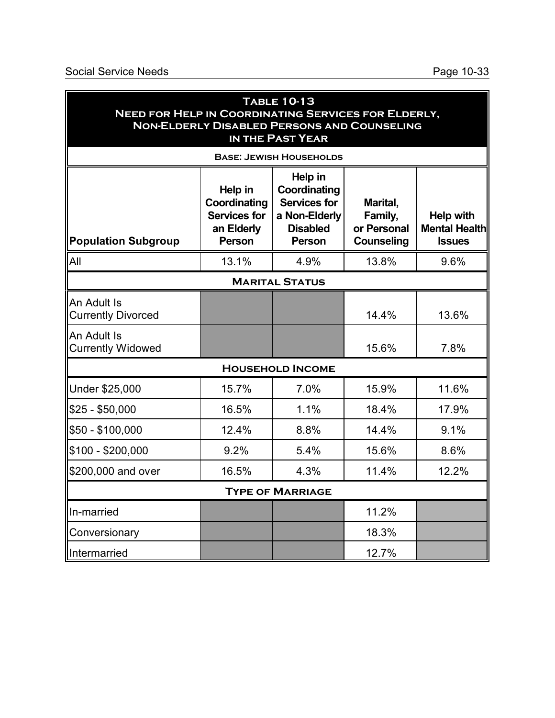| <b>TABLE 10-13</b><br><b>NEED FOR HELP IN COORDINATING SERVICES FOR ELDERLY,</b><br><b>NON-ELDERLY DISABLED PERSONS AND COUNSELING</b><br><b>IN THE PAST YEAR</b> |                                                                               |                                                                                              |                                                         |                                                           |
|-------------------------------------------------------------------------------------------------------------------------------------------------------------------|-------------------------------------------------------------------------------|----------------------------------------------------------------------------------------------|---------------------------------------------------------|-----------------------------------------------------------|
|                                                                                                                                                                   |                                                                               | <b>BASE: JEWISH HOUSEHOLDS</b>                                                               |                                                         |                                                           |
| <b>Population Subgroup</b>                                                                                                                                        | Help in<br>Coordinating<br><b>Services for</b><br>an Elderly<br><b>Person</b> | Help in<br>Coordinating<br>Services for<br>a Non-Elderly<br><b>Disabled</b><br><b>Person</b> | Marital,<br>Family,<br>or Personal<br><b>Counseling</b> | <b>Help with</b><br><b>Mental Health</b><br><b>Issues</b> |
| <b>All</b>                                                                                                                                                        | 13.1%                                                                         | 4.9%                                                                                         | 13.8%                                                   | 9.6%                                                      |
|                                                                                                                                                                   |                                                                               | <b>MARITAL STATUS</b>                                                                        |                                                         |                                                           |
| An Adult Is<br><b>Currently Divorced</b>                                                                                                                          |                                                                               |                                                                                              | 14.4%                                                   | 13.6%                                                     |
| An Adult Is<br><b>Currently Widowed</b>                                                                                                                           |                                                                               |                                                                                              | 15.6%                                                   | 7.8%                                                      |
|                                                                                                                                                                   |                                                                               | <b>HOUSEHOLD INCOME</b>                                                                      |                                                         |                                                           |
| Under \$25,000                                                                                                                                                    | 15.7%                                                                         | 7.0%                                                                                         | 15.9%                                                   | 11.6%                                                     |
| \$25 - \$50,000                                                                                                                                                   | 16.5%                                                                         | 1.1%                                                                                         | 18.4%                                                   | 17.9%                                                     |
| \$50 - \$100,000                                                                                                                                                  | 12.4%                                                                         | 8.8%                                                                                         | 14.4%                                                   | 9.1%                                                      |
| \$100 - \$200,000                                                                                                                                                 | 9.2%                                                                          | 5.4%                                                                                         | 15.6%                                                   | 8.6%                                                      |
| \$200,000 and over                                                                                                                                                | 16.5%                                                                         | 4.3%                                                                                         | 11.4%                                                   | 12.2%                                                     |
| <b>TYPE OF MARRIAGE</b>                                                                                                                                           |                                                                               |                                                                                              |                                                         |                                                           |
| In-married                                                                                                                                                        |                                                                               |                                                                                              | 11.2%                                                   |                                                           |
| Conversionary                                                                                                                                                     |                                                                               |                                                                                              | 18.3%                                                   |                                                           |
| Intermarried                                                                                                                                                      |                                                                               |                                                                                              | 12.7%                                                   |                                                           |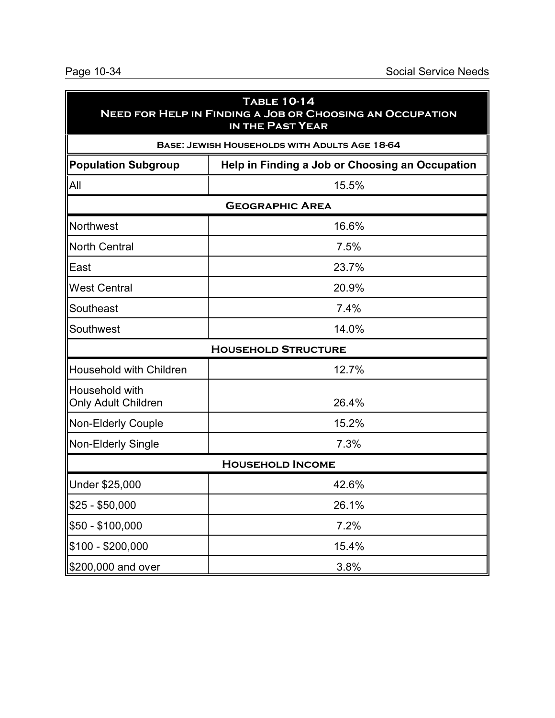| <b>TABLE 10-14</b><br><b>NEED FOR HELP IN FINDING A JOB OR CHOOSING AN OCCUPATION</b><br>IN THE PAST YEAR |                                               |  |  |  |
|-----------------------------------------------------------------------------------------------------------|-----------------------------------------------|--|--|--|
|                                                                                                           | BASE: JEWISH HOUSEHOLDS WITH ADULTS AGE 18-64 |  |  |  |
| <b>Population Subgroup</b><br>Help in Finding a Job or Choosing an Occupation                             |                                               |  |  |  |
| All<br>15.5%                                                                                              |                                               |  |  |  |
|                                                                                                           | <b>GEOGRAPHIC AREA</b>                        |  |  |  |
| Northwest<br>16.6%                                                                                        |                                               |  |  |  |
| <b>North Central</b>                                                                                      | 7.5%                                          |  |  |  |
| East                                                                                                      | 23.7%                                         |  |  |  |
| <b>West Central</b>                                                                                       | 20.9%                                         |  |  |  |
| Southeast                                                                                                 | 7.4%                                          |  |  |  |
| Southwest                                                                                                 | 14.0%                                         |  |  |  |
|                                                                                                           | <b>HOUSEHOLD STRUCTURE</b>                    |  |  |  |
| Household with Children                                                                                   | 12.7%                                         |  |  |  |
| Household with<br><b>Only Adult Children</b>                                                              | 26.4%                                         |  |  |  |
| <b>Non-Elderly Couple</b>                                                                                 | 15.2%                                         |  |  |  |
| Non-Elderly Single                                                                                        | 7.3%                                          |  |  |  |
|                                                                                                           | <b>HOUSEHOLD INCOME</b>                       |  |  |  |
| Under \$25,000                                                                                            | 42.6%                                         |  |  |  |
| $$25 - $50,000$                                                                                           | 26.1%                                         |  |  |  |
| \$50 - \$100,000                                                                                          | 7.2%                                          |  |  |  |
| \$100 - \$200,000                                                                                         | 15.4%                                         |  |  |  |
| \$200,000 and over                                                                                        | 3.8%                                          |  |  |  |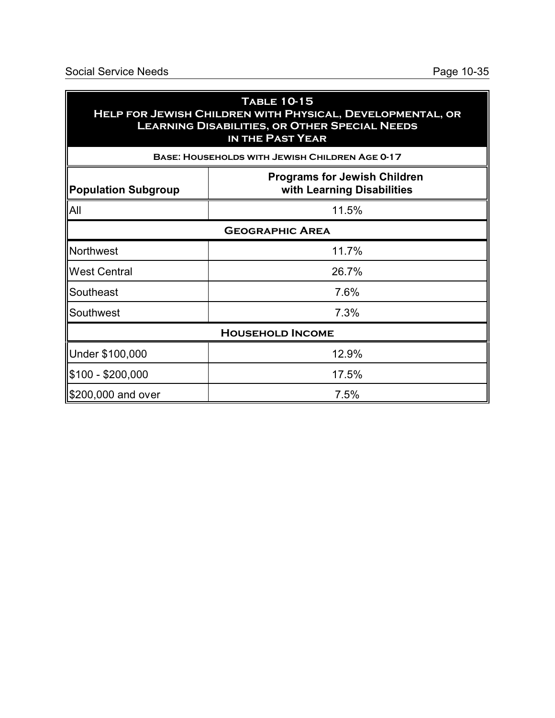| <b>TABLE 10-15</b><br>HELP FOR JEWISH CHILDREN WITH PHYSICAL, DEVELOPMENTAL, OR<br><b>LEARNING DISABILITIES, OR OTHER SPECIAL NEEDS</b><br>IN THE PAST YEAR |                                                       |  |  |
|-------------------------------------------------------------------------------------------------------------------------------------------------------------|-------------------------------------------------------|--|--|
|                                                                                                                                                             | <b>BASE: HOUSEHOLDS WITH JEWISH CHILDREN AGE 0-17</b> |  |  |
| <b>Programs for Jewish Children</b><br>with Learning Disabilities<br><b>Population Subgroup</b>                                                             |                                                       |  |  |
| All                                                                                                                                                         | 11.5%                                                 |  |  |
| <b>GEOGRAPHIC AREA</b>                                                                                                                                      |                                                       |  |  |
| Northwest                                                                                                                                                   | 11.7%                                                 |  |  |
| <b>West Central</b>                                                                                                                                         | 26.7%                                                 |  |  |
| Southeast                                                                                                                                                   | 7.6%                                                  |  |  |
| Southwest                                                                                                                                                   | 7.3%                                                  |  |  |
| <b>HOUSEHOLD INCOME</b>                                                                                                                                     |                                                       |  |  |
| Under \$100,000                                                                                                                                             | 12.9%                                                 |  |  |
| \$100 - \$200,000                                                                                                                                           | 17.5%                                                 |  |  |
| \$200,000 and over                                                                                                                                          | 7.5%                                                  |  |  |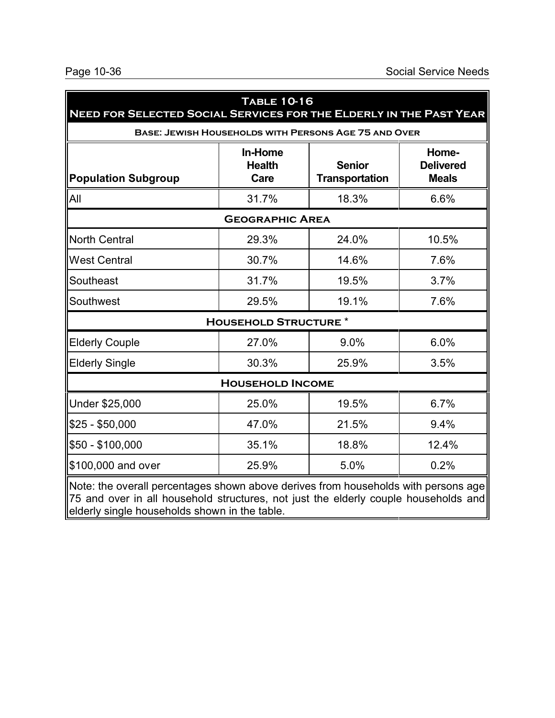| NEED FOR SELECTED SOCIAL SERVICES FOR THE ELDERLY IN THE PAST YEAR                                | <b>TABLE 10-16</b>               |                                                             |                                           |
|---------------------------------------------------------------------------------------------------|----------------------------------|-------------------------------------------------------------|-------------------------------------------|
|                                                                                                   |                                  | <b>BASE: JEWISH HOUSEHOLDS WITH PERSONS AGE 75 AND OVER</b> |                                           |
| <b>Population Subgroup</b>                                                                        | In-Home<br><b>Health</b><br>Care | <b>Senior</b><br><b>Transportation</b>                      | Home-<br><b>Delivered</b><br><b>Meals</b> |
| All                                                                                               | 31.7%                            | 18.3%                                                       | 6.6%                                      |
|                                                                                                   | <b>GEOGRAPHIC AREA</b>           |                                                             |                                           |
| North Central                                                                                     | 29.3%                            | 24.0%                                                       | 10.5%                                     |
| <b>West Central</b>                                                                               | 30.7%                            | 14.6%                                                       | 7.6%                                      |
| Southeast                                                                                         | 31.7%                            | 19.5%                                                       | 3.7%                                      |
| Southwest                                                                                         | 29.5%                            | 19.1%                                                       | 7.6%                                      |
|                                                                                                   | <b>HOUSEHOLD STRUCTURE *</b>     |                                                             |                                           |
| <b>Elderly Couple</b>                                                                             | 27.0%                            | 9.0%                                                        | 6.0%                                      |
| <b>Elderly Single</b>                                                                             | 30.3%                            | 25.9%                                                       | 3.5%                                      |
|                                                                                                   | <b>HOUSEHOLD INCOME</b>          |                                                             |                                           |
| Under \$25,000                                                                                    | 25.0%                            | 19.5%                                                       | 6.7%                                      |
| $$25 - $50,000$                                                                                   | 47.0%                            | 21.5%                                                       | 9.4%                                      |
| \$50 - \$100,000                                                                                  | 35.1%                            | 18.8%                                                       | 12.4%                                     |
| \$100,000 and over                                                                                | 25.9%                            | 5.0%                                                        | 0.2%                                      |
| $\blacksquare$ Note: the overall percentages shown above derives from households with persons age |                                  |                                                             |                                           |

Note: the overall percentages shown above derives from households with persons age 75 and over in all household structures, not just the elderly couple households and elderly single households shown in the table.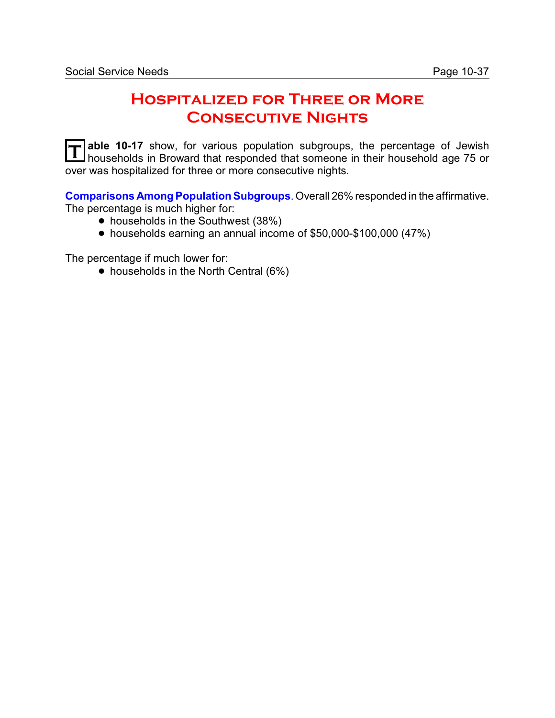# **Hospitalized for Three or More Consecutive Nights**

**T** able 10-17 show, for various population subgroups, the percentage of Jewish households in Broward that responded that someone in their household age 75 or over was hospitalized for three or more consecutive nights.

**Comparisons Among Population Subgroups**. Overall 26% responded in the affirmative. The percentage is much higher for:

- households in the Southwest (38%)
- ! households earning an annual income of \$50,000-\$100,000 (47%)

The percentage if much lower for:

• households in the North Central (6%)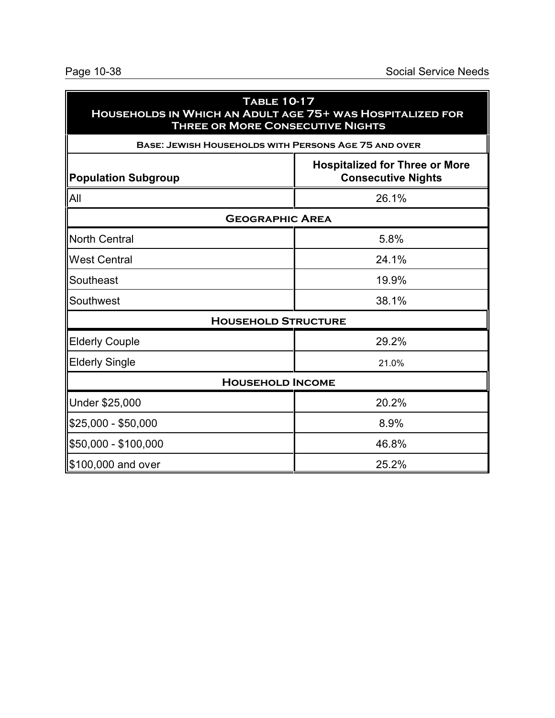| <b>TABLE 10-17</b><br>HOUSEHOLDS IN WHICH AN ADULT AGE 75+ WAS HOSPITALIZED FOR<br><b>THREE OR MORE CONSECUTIVE NIGHTS</b> |                                                                    |  |  |
|----------------------------------------------------------------------------------------------------------------------------|--------------------------------------------------------------------|--|--|
| <b>BASE: JEWISH HOUSEHOLDS WITH PERSONS AGE 75 AND OVER</b>                                                                |                                                                    |  |  |
| <b>Population Subgroup</b>                                                                                                 | <b>Hospitalized for Three or More</b><br><b>Consecutive Nights</b> |  |  |
| All                                                                                                                        | 26.1%                                                              |  |  |
| <b>GEOGRAPHIC AREA</b>                                                                                                     |                                                                    |  |  |
| North Central                                                                                                              | 5.8%                                                               |  |  |
| <b>West Central</b>                                                                                                        | 24.1%                                                              |  |  |
| Southeast                                                                                                                  | 19.9%                                                              |  |  |
| Southwest                                                                                                                  | 38.1%                                                              |  |  |
| <b>HOUSEHOLD STRUCTURE</b>                                                                                                 |                                                                    |  |  |
| <b>Elderly Couple</b>                                                                                                      | 29.2%                                                              |  |  |
| <b>Elderly Single</b>                                                                                                      | 21.0%                                                              |  |  |
| <b>HOUSEHOLD INCOME</b>                                                                                                    |                                                                    |  |  |
| <b>Under \$25,000</b>                                                                                                      | 20.2%                                                              |  |  |
| \$25,000 - \$50,000                                                                                                        | 8.9%                                                               |  |  |
| \$50,000 - \$100,000                                                                                                       | 46.8%                                                              |  |  |
| \$100,000 and over!                                                                                                        | 25.2%                                                              |  |  |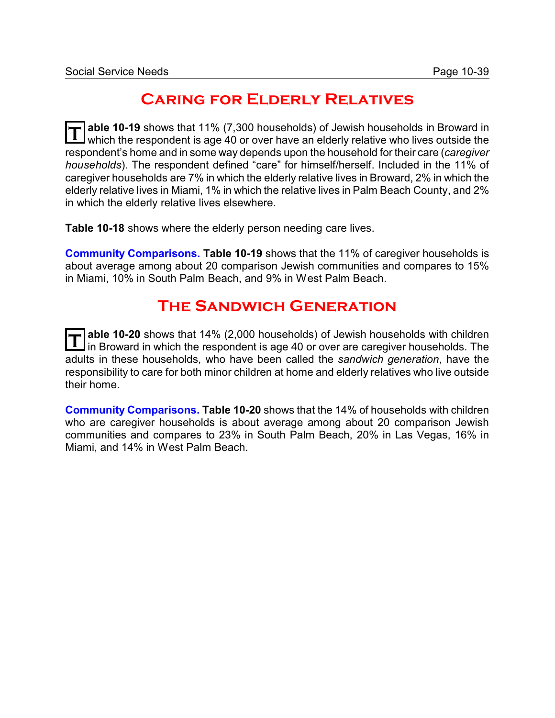# **Caring for Elderly Relatives**

**T able 10-19** shows that 11% (7,300 households) of Jewish households in Broward in which the respondent is age 40 or over have an elderly relative who lives outside the respondent's home and in some way depends upon the household for their care (*caregiver households*). The respondent defined "care" for himself/herself. Included in the 11% of caregiver households are 7% in which the elderly relative lives in Broward, 2% in which the elderly relative lives in Miami, 1% in which the relative lives in Palm Beach County, and 2% in which the elderly relative lives elsewhere.

**Table 10-18** shows where the elderly person needing care lives.

**Community Comparisons. Table 10-19** shows that the 11% of caregiver households is about average among about 20 comparison Jewish communities and compares to 15% in Miami, 10% in South Palm Beach, and 9% in West Palm Beach.

### **The Sandwich Generation**

T able 10-20 shows that 14% (2,000 households) of Jewish households with children<br>In Broward in which the respondent is age 40 or over are caregiver households. The **able 10-20** shows that 14% (2,000 households) of Jewish households with children adults in these households, who have been called the *sandwich generation*, have the responsibility to care for both minor children at home and elderly relatives who live outside their home.

**Community Comparisons. Table 10-20** shows that the 14% of households with children who are caregiver households is about average among about 20 comparison Jewish communities and compares to 23% in South Palm Beach, 20% in Las Vegas, 16% in Miami, and 14% in West Palm Beach.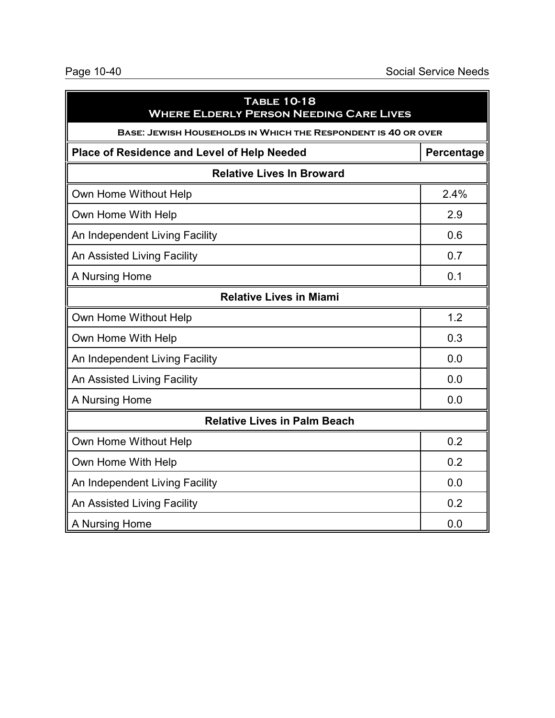| <b>TABLE 10-18</b><br><b>WHERE ELDERLY PERSON NEEDING CARE LIVES</b> |            |  |  |
|----------------------------------------------------------------------|------------|--|--|
| <b>BASE: JEWISH HOUSEHOLDS IN WHICH THE RESPONDENT IS 40 OR OVER</b> |            |  |  |
| <b>Place of Residence and Level of Help Needed</b>                   | Percentage |  |  |
| <b>Relative Lives In Broward</b>                                     |            |  |  |
| Own Home Without Help                                                | 2.4%       |  |  |
| Own Home With Help                                                   | 2.9        |  |  |
| An Independent Living Facility                                       | 0.6        |  |  |
| An Assisted Living Facility                                          | 0.7        |  |  |
| A Nursing Home                                                       | 0.1        |  |  |
| <b>Relative Lives in Miami</b>                                       |            |  |  |
| Own Home Without Help                                                | 1.2        |  |  |
| Own Home With Help                                                   | 0.3        |  |  |
| An Independent Living Facility                                       | 0.0        |  |  |
| An Assisted Living Facility                                          | 0.0        |  |  |
| A Nursing Home                                                       | 0.0        |  |  |
| <b>Relative Lives in Palm Beach</b>                                  |            |  |  |
| Own Home Without Help                                                | 0.2        |  |  |
| Own Home With Help                                                   | 0.2        |  |  |
| An Independent Living Facility                                       | 0.0        |  |  |
| An Assisted Living Facility                                          | 0.2        |  |  |
| A Nursing Home                                                       | 0.0        |  |  |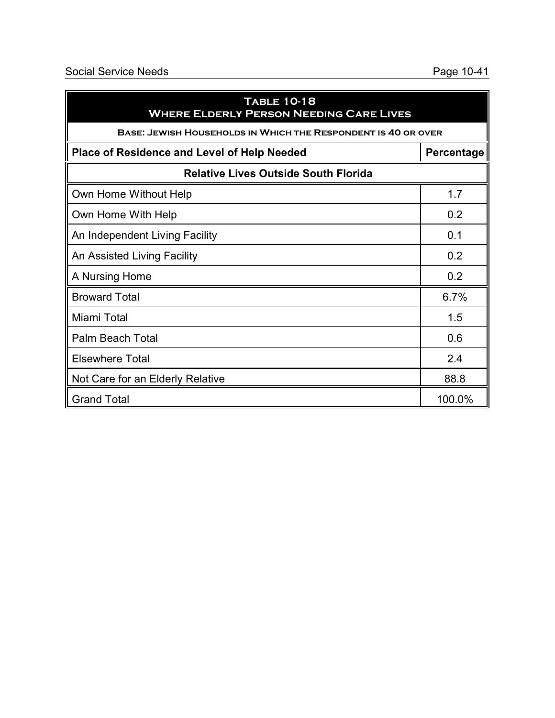| <b>TABLE 10-18</b><br><b>WHERE ELDERLY PERSON NEEDING CARE LIVES</b> |            |
|----------------------------------------------------------------------|------------|
| <b>BASE: JEWISH HOUSEHOLDS IN WHICH THE RESPONDENT IS 40 OR OVER</b> |            |
| <b>Place of Residence and Level of Help Needed</b>                   | Percentage |
| <b>Relative Lives Outside South Florida</b>                          |            |
| Own Home Without Help                                                | 1.7        |
| Own Home With Help                                                   | 0.2        |
| An Independent Living Facility                                       | 0.1        |
| An Assisted Living Facility                                          | 0.2        |
| A Nursing Home                                                       | 0.2        |
| <b>Broward Total</b>                                                 | 6.7%       |
| Miami Total                                                          | 1.5        |
| <b>Palm Beach Total</b>                                              | 0.6        |
| <b>Elsewhere Total</b>                                               | 2.4        |
| Not Care for an Elderly Relative                                     | 88.8       |
| <b>Grand Total</b>                                                   | 100.0%     |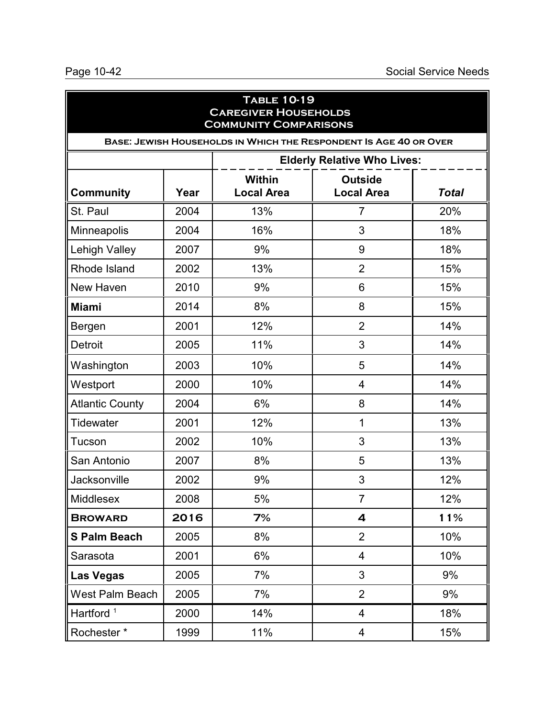| <b>TABLE 10-19</b><br><b>CAREGIVER HOUSEHOLDS</b><br><b>COMMUNITY COMPARISONS</b> |                                    |                                                                   |                                     |              |  |
|-----------------------------------------------------------------------------------|------------------------------------|-------------------------------------------------------------------|-------------------------------------|--------------|--|
|                                                                                   |                                    | BASE: JEWISH HOUSEHOLDS IN WHICH THE RESPONDENT IS AGE 40 OR OVER |                                     |              |  |
|                                                                                   | <b>Elderly Relative Who Lives:</b> |                                                                   |                                     |              |  |
| <b>Community</b>                                                                  | Year                               | <b>Within</b><br><b>Local Area</b>                                | <b>Outside</b><br><b>Local Area</b> | <b>Total</b> |  |
| St. Paul                                                                          | 2004                               | 13%                                                               | $\overline{7}$                      | 20%          |  |
| Minneapolis                                                                       | 2004                               | 16%                                                               | 3                                   | 18%          |  |
| <b>Lehigh Valley</b>                                                              | 2007                               | 9%                                                                | 9                                   | 18%          |  |
| Rhode Island                                                                      | 2002                               | 13%                                                               | $\overline{2}$                      | 15%          |  |
| New Haven                                                                         | 2010                               | 9%                                                                | 6                                   | 15%          |  |
| <b>Miami</b>                                                                      | 2014                               | 8%                                                                | 8                                   | 15%          |  |
| Bergen                                                                            | 2001                               | 12%                                                               | $\overline{2}$                      | 14%          |  |
| Detroit                                                                           | 2005                               | 11%                                                               | 3                                   | 14%          |  |
| Washington                                                                        | 2003                               | 10%                                                               | 5                                   | 14%          |  |
| Westport                                                                          | 2000                               | 10%                                                               | 4                                   | 14%          |  |
| <b>Atlantic County</b>                                                            | 2004                               | 6%                                                                | 8                                   | 14%          |  |
| <b>Tidewater</b>                                                                  | 2001                               | 12%                                                               | 1                                   | 13%          |  |
| Tucson                                                                            | 2002                               | 10%                                                               | 3                                   | 13%          |  |
| San Antonio                                                                       | 2007                               | 8%                                                                | 5                                   | 13%          |  |
| Jacksonville                                                                      | 2002                               | 9%                                                                | 3                                   | 12%          |  |
| Middlesex                                                                         | 2008                               | $5%$                                                              | $\overline{7}$                      | 12%          |  |
| <b>BROWARD</b>                                                                    | 2016                               | 7%                                                                | 4                                   | 11%          |  |
| <b>S Palm Beach</b>                                                               | 2005                               | 8%                                                                | $\overline{2}$                      | 10%          |  |
| Sarasota                                                                          | 2001                               | 6%                                                                | $\overline{\mathcal{A}}$            | 10%          |  |
| <b>Las Vegas</b>                                                                  | 2005                               | 7%                                                                | 3                                   | 9%           |  |
| West Palm Beach                                                                   | 2005                               | 7%                                                                | $\overline{2}$                      | 9%           |  |
| Hartford <sup>1</sup>                                                             | 2000                               | 14%                                                               | $\overline{\mathcal{A}}$            | 18%          |  |
| Rochester*                                                                        | 1999                               | 11%                                                               | 4                                   | 15%          |  |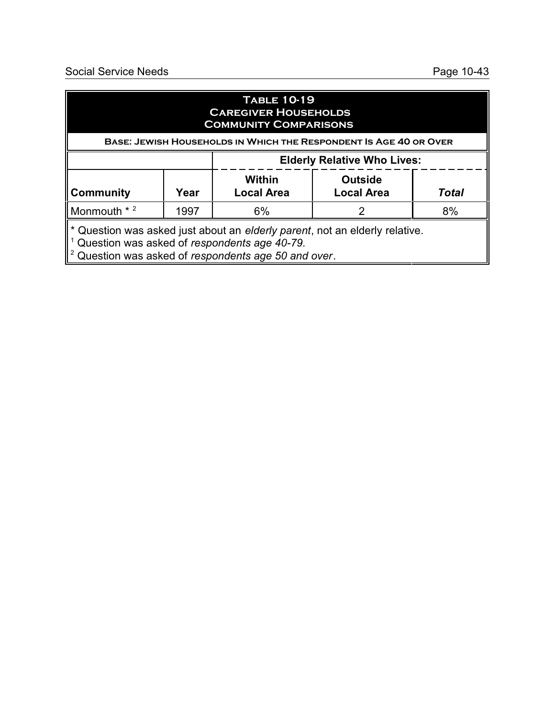### **Table 10-19 Caregiver Households Community Comparisons**

| <b>BASE: JEWISH HOUSEHOLDS IN WHICH THE RESPONDENT IS AGE 40 OR OVER</b> |      |                                    |                                     |              |  |
|--------------------------------------------------------------------------|------|------------------------------------|-------------------------------------|--------------|--|
|                                                                          |      | <b>Elderly Relative Who Lives:</b> |                                     |              |  |
| <b>Community</b>                                                         | Year | Within<br><b>Local Area</b>        | <b>Outside</b><br><b>Local Area</b> | <b>Total</b> |  |
| Monmouth * 2                                                             | 1997 | 6%                                 |                                     | 8%           |  |

\* Question was asked just about an *elderly parent*, not an elderly relative. 1 Question was asked of *respondents age 40-79.*

2 Question was asked of *respondents age 50 and over*.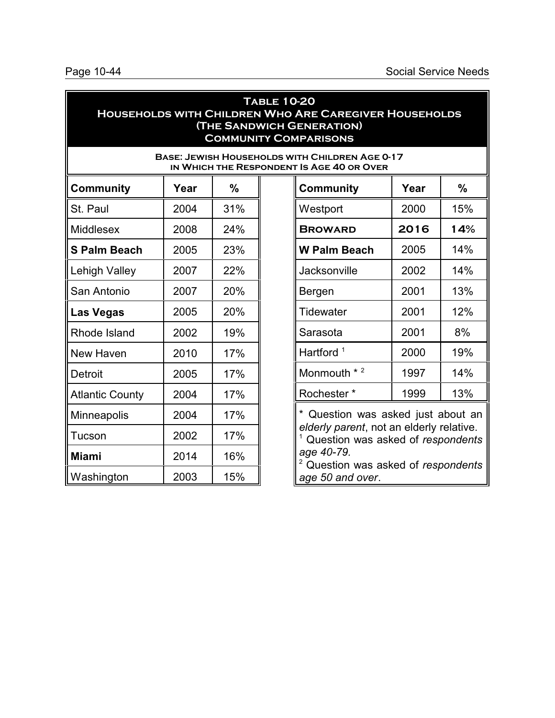### **Table 10-20 Households with Children Who Are Caregiver Households (The Sandwich Generation) Community Comparisons**

#### **Base: Jewish Households with Children Age 0-17 IN WHICH THE RESPONDENT**

| Community              | Year | %   |
|------------------------|------|-----|
| St. Paul               | 2004 | 31% |
| <b>Middlesex</b>       | 2008 | 24% |
| <b>S Palm Beach</b>    | 2005 | 23% |
| Lehigh Valley          | 2007 | 22% |
| San Antonio            | 2007 | 20% |
| Las Vegas              | 2005 | 20% |
| Rhode Island           | 2002 | 19% |
| New Haven              | 2010 | 17% |
| Detroit                | 2005 | 17% |
| <b>Atlantic County</b> | 2004 | 17% |
| Minneapolis            | 2004 | 17% |
| Tucson                 | 2002 | 17% |
| <b>Miami</b>           | 2014 | 16% |
| Washington             | 2003 | 15% |

| <b>T IS AGE 40 OR OVER</b> |      |     |  |  |
|----------------------------|------|-----|--|--|
| <b>Community</b>           | Year | %   |  |  |
| Westport                   | 2000 | 15% |  |  |
| <b>BROWARD</b>             | 2016 | 14% |  |  |
| <b>W Palm Beach</b>        | 2005 | 14% |  |  |
| Jacksonville               | 2002 | 14% |  |  |
| Bergen                     | 2001 | 13% |  |  |
| Tidewater                  | 2001 | 12% |  |  |
| Sarasota                   | 2001 | 8%  |  |  |
| Hartford <sup>1</sup>      | 2000 | 19% |  |  |
| $*2$<br>Monmouth           | 1997 | 14% |  |  |
| Rochester *                | 1999 | 13% |  |  |
|                            | .    |     |  |  |

\* Question was asked just about an *elderly parent*, not an elderly relative. <sup>1</sup> Question was asked of *respondents age 40-79.*

<sup>2</sup> Question was asked of *respondents age 50 and over*.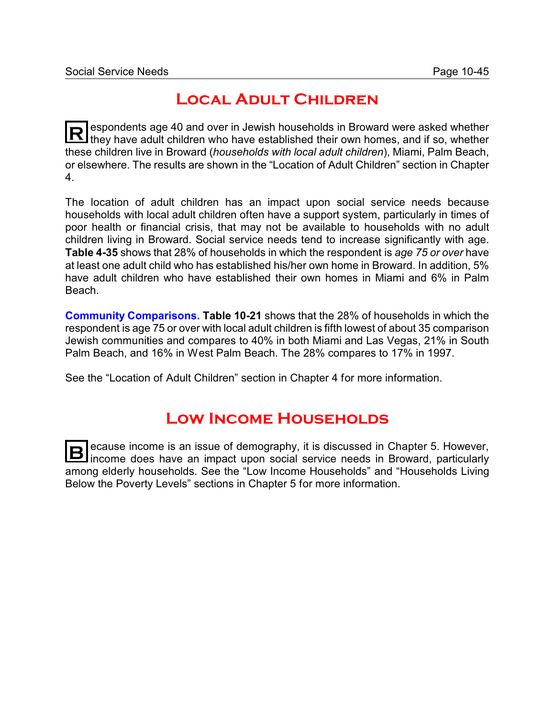## **Local Adult Children**

**R** espondents age 40 and over in Jewish households in Broward were asked whether they have adult children who have established their own homes, and if so, whether these children live in Broward (*households with local adult children*), Miami, Palm Beach, or elsewhere. The results are shown in the "Location of Adult Children" section in Chapter 4.

The location of adult children has an impact upon social service needs because households with local adult children often have a support system, particularly in times of poor health or financial crisis, that may not be available to households with no adult children living in Broward. Social service needs tend to increase significantly with age. **Table 4-35** shows that 28% of households in which the respondent is *age 75 or over* have at least one adult child who has established his/her own home in Broward. In addition, 5% have adult children who have established their own homes in Miami and 6% in Palm Beach.

**Community Comparisons. Table 10-21** shows that the 28% of households in which the respondent is age 75 or over with local adult children is fifth lowest of about 35 comparison Jewish communities and compares to 40% in both Miami and Las Vegas, 21% in South Palm Beach, and 16% in West Palm Beach. The 28% compares to 17% in 1997.

See the "Location of Adult Children" section in Chapter 4 for more information.

# **Low Income Households**

**B** ecause income is an issue of demography, it is discussed in Chapter 5. However, income does have an impact upon social service needs in Broward, particularly among elderly households. See the "Low Income Households" and "Households Living Below the Poverty Levels" sections in Chapter 5 for more information.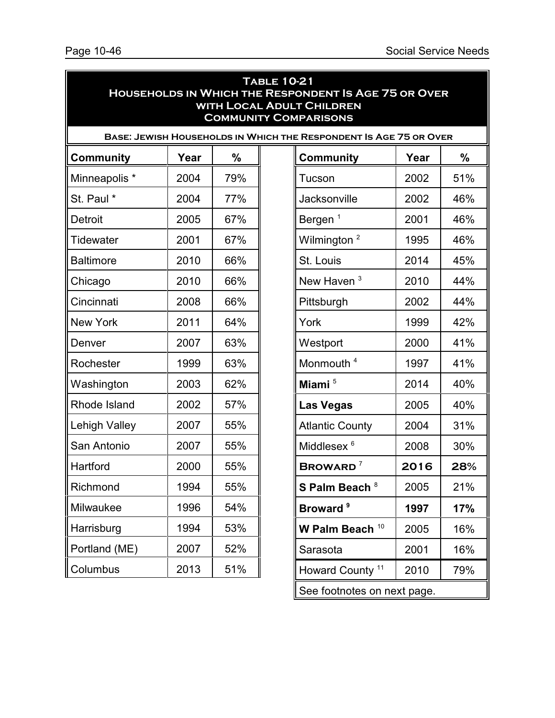| <b>TABLE 10-21</b><br><b>HOUSEHOLDS IN WHICH THE RESPONDENT IS AGE 75 OR OVER</b><br><b>WITH LOCAL ADULT CHILDREN</b><br><b>COMMUNITY COMPARISONS</b> |      |     |  |                                                                   |      |               |
|-------------------------------------------------------------------------------------------------------------------------------------------------------|------|-----|--|-------------------------------------------------------------------|------|---------------|
|                                                                                                                                                       |      |     |  | BASE: JEWISH HOUSEHOLDS IN WHICH THE RESPONDENT IS AGE 75 OR OVER |      |               |
| <b>Community</b>                                                                                                                                      | Year | %   |  | <b>Community</b>                                                  | Year | $\frac{0}{0}$ |
| Minneapolis *                                                                                                                                         | 2004 | 79% |  | Tucson                                                            | 2002 | 51%           |
| St. Paul *                                                                                                                                            | 2004 | 77% |  | Jacksonville                                                      | 2002 | 46%           |
| Detroit                                                                                                                                               | 2005 | 67% |  | Bergen <sup>1</sup>                                               | 2001 | 46%           |
| Tidewater                                                                                                                                             | 2001 | 67% |  | Wilmington <sup>2</sup>                                           | 1995 | 46%           |
| <b>Baltimore</b>                                                                                                                                      | 2010 | 66% |  | St. Louis                                                         | 2014 | 45%           |
| Chicago                                                                                                                                               | 2010 | 66% |  | New Haven <sup>3</sup>                                            | 2010 | 44%           |
| Cincinnati                                                                                                                                            | 2008 | 66% |  | Pittsburgh                                                        | 2002 | 44%           |
| <b>New York</b>                                                                                                                                       | 2011 | 64% |  | York                                                              | 1999 | 42%           |
| Denver                                                                                                                                                | 2007 | 63% |  | Westport                                                          | 2000 | 41%           |
| Rochester                                                                                                                                             | 1999 | 63% |  | Monmouth <sup>4</sup>                                             | 1997 | 41%           |
| Washington                                                                                                                                            | 2003 | 62% |  | Miami <sup>5</sup>                                                | 2014 | 40%           |
| Rhode Island                                                                                                                                          | 2002 | 57% |  | <b>Las Vegas</b>                                                  | 2005 | 40%           |
| Lehigh Valley                                                                                                                                         | 2007 | 55% |  | <b>Atlantic County</b>                                            | 2004 | 31%           |
| San Antonio                                                                                                                                           | 2007 | 55% |  | Middlesex <sup>6</sup>                                            | 2008 | 30%           |
| Hartford                                                                                                                                              | 2000 | 55% |  | <b>BROWARD</b> $^7$                                               | 2016 | 28%           |
| Richmond                                                                                                                                              | 1994 | 55% |  | S Palm Beach <sup>8</sup>                                         | 2005 | 21%           |
| Milwaukee                                                                                                                                             | 1996 | 54% |  | Broward <sup>9</sup>                                              | 1997 | 17%           |
| Harrisburg                                                                                                                                            | 1994 | 53% |  | W Palm Beach $10$                                                 | 2005 | 16%           |
| Portland (ME)                                                                                                                                         | 2007 | 52% |  | Sarasota                                                          | 2001 | 16%           |
| Columbus                                                                                                                                              | 2013 | 51% |  | Howard County <sup>11</sup>                                       | 2010 | 79%           |

See footnotes on next page.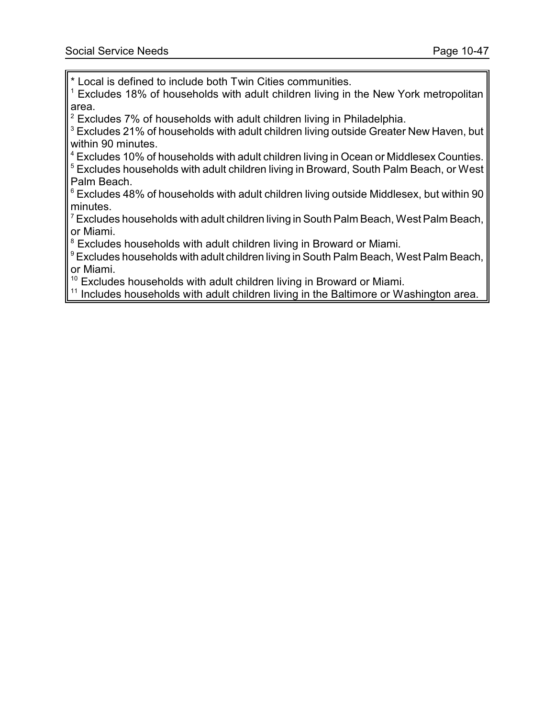\* Local is defined to include both Twin Cities communities.

 $1$  Excludes 18% of households with adult children living in the New York metropolitan area.

 $2$  Excludes 7% of households with adult children living in Philadelphia.

<sup>3</sup> Excludes 21% of households with adult children living outside Greater New Haven, but within 90 minutes.

 $4$  Excludes 10% of households with adult children living in Ocean or Middlesex Counties.

<sup>5</sup> Excludes households with adult children living in Broward, South Palm Beach, or West Palm Beach.

<sup>6</sup> Excludes 48% of households with adult children living outside Middlesex, but within 90 minutes.

Excludes households with adult children living in South Palm Beach, West Palm Beach, or Miami.

 $8$  Excludes households with adult children living in Broward or Miami.

<sup>9</sup> Excludes households with adult children living in South Palm Beach, West Palm Beach, or Miami.

<sup>10</sup> Excludes households with adult children living in Broward or Miami.

<sup>11</sup> Includes households with adult children living in the Baltimore or Washington area.